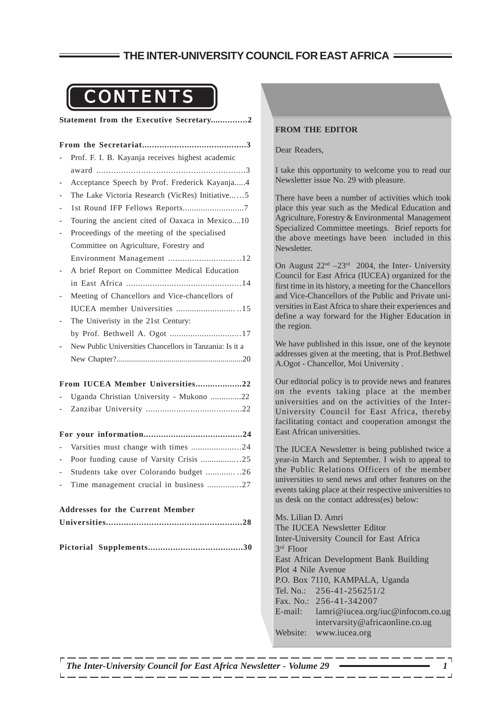## **THE INTER-UNIVERSITY COUNCIL FOR EAST AFRICA**

## CONTENTS

**Statement from the Executive Secretary...............2**

|                                         | Prof. F. I. B. Kayanja receives highest academic         |
|-----------------------------------------|----------------------------------------------------------|
|                                         |                                                          |
| $\overline{\phantom{0}}$                | Acceptance Speech by Prof. Frederick Kayanja4            |
|                                         | The Lake Victoria Research (VicRes) Initiative5          |
| $\qquad \qquad -$                       |                                                          |
|                                         | Touring the ancient cited of Oaxaca in Mexico10          |
|                                         | Proceedings of the meeting of the specialised            |
|                                         | Committee on Agriculture, Forestry and                   |
|                                         |                                                          |
|                                         | A brief Report on Committee Medical Education            |
|                                         |                                                          |
|                                         | Meeting of Chancellors and Vice-chancellors of           |
|                                         | IUCEA member Universities 15                             |
|                                         | The Univeristy in the 21st Century:                      |
|                                         | by Prof. Bethwell A. Ogot 17                             |
|                                         | New Public Universities Chancellors in Tanzania: Is it a |
|                                         |                                                          |
| From IUCEA Member Universities22        |                                                          |
|                                         | Uganda Christian University - Mukono 22                  |
| $\overline{\phantom{0}}$                |                                                          |
|                                         |                                                          |
|                                         |                                                          |
|                                         | Varsities must change with times 24                      |
| $\overline{\phantom{a}}$                | Poor funding cause of Varsity Crisis 25                  |
|                                         | Students take over Colorando budget 26                   |
|                                         | Time management crucial in business 27                   |
| <b>Addresses for the Current Member</b> |                                                          |
|                                         |                                                          |
|                                         |                                                          |
|                                         |                                                          |
|                                         |                                                          |
|                                         |                                                          |
|                                         |                                                          |
|                                         |                                                          |
|                                         |                                                          |

#### **FROM THE EDITOR**

#### Dear Readers,

I take this opportunity to welcome you to read our Newsletter issue No. 29 with pleasure.

There have been a number of activities which took place this year such as the Medical Education and Agriculture, Forestry & Environmental Management Specialized Committee meetings. Brief reports for the above meetings have been included in this Newsletter.

On August  $22<sup>nd</sup> -23<sup>rd</sup>$  2004, the Inter- University Council for East Africa (IUCEA) organized for the first time in its history, a meeting for the Chancellors and Vice-Chancellors of the Public and Private universities in East Africa to share their experiences and define a way forward for the Higher Education in the region.

We have published in this issue, one of the keynote addresses given at the meeting, that is Prof.Bethwel A.Ogot - Chancellor, Moi University .

Our editorial policy is to provide news and features on the events taking place at the member universities and on the activities of the Inter-University Council for East Africa, thereby facilitating contact and cooperation amongst the East African universities.

The IUCEA Newsletter is being published twice a year-in March and September. I wish to appeal to the Public Relations Officers of the member universities to send news and other features on the events taking place at their respective universities to us desk on the contact address(es) below:

Ms. Lilian D. Amri The IUCEA Newsletter Editor Inter-University Council for East Africa 3rd Floor East African Development Bank Building Plot 4 Nile Avenue P.O. Box 7110, KAMPALA, Uganda Tel. No.: 256-41-256251/2 Fax. No.: 256-41-342007 E-mail: lamri@iucea.org/iuc@infocom.co.ug intervarsity@africaonline.co.ug Website: www.iucea.org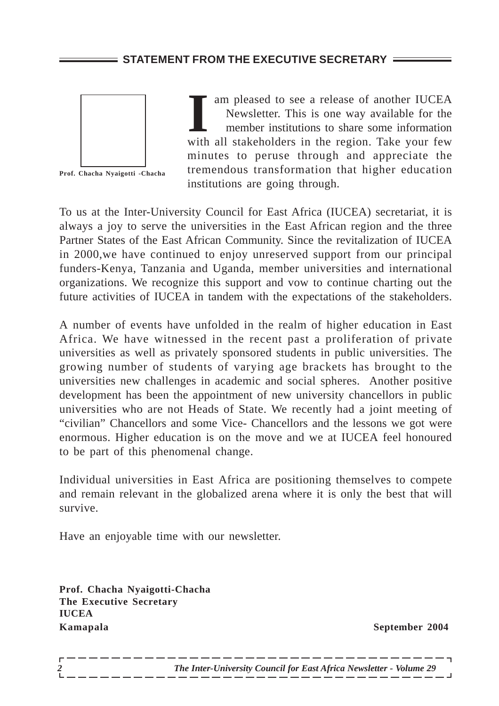## **STATEMENT FROM THE EXECUTIVE SECRETARY =**



**Prof. Chacha Nyaigotti -Chacha**

am pleased to see a release of another IUCEA<br>
Newsletter. This is one way available for the<br>
member institutions to share some information<br>
with all stakeholders in the region. Take your few am pleased to see a release of another IUCEA Newsletter. This is one way available for the member institutions to share some information minutes to peruse through and appreciate the tremendous transformation that higher education institutions are going through.

To us at the Inter-University Council for East Africa (IUCEA) secretariat, it is always a joy to serve the universities in the East African region and the three Partner States of the East African Community. Since the revitalization of IUCEA in 2000,we have continued to enjoy unreserved support from our principal funders-Kenya, Tanzania and Uganda, member universities and international organizations. We recognize this support and vow to continue charting out the future activities of IUCEA in tandem with the expectations of the stakeholders.

A number of events have unfolded in the realm of higher education in East Africa. We have witnessed in the recent past a proliferation of private universities as well as privately sponsored students in public universities. The growing number of students of varying age brackets has brought to the universities new challenges in academic and social spheres. Another positive development has been the appointment of new university chancellors in public universities who are not Heads of State. We recently had a joint meeting of "civilian" Chancellors and some Vice- Chancellors and the lessons we got were enormous. Higher education is on the move and we at IUCEA feel honoured to be part of this phenomenal change.

Individual universities in East Africa are positioning themselves to compete and remain relevant in the globalized arena where it is only the best that will survive.

Have an enjoyable time with our newsletter.

**Prof. Chacha Nyaigotti-Chacha The Executive Secretary IUCEA Kamapala September 2004**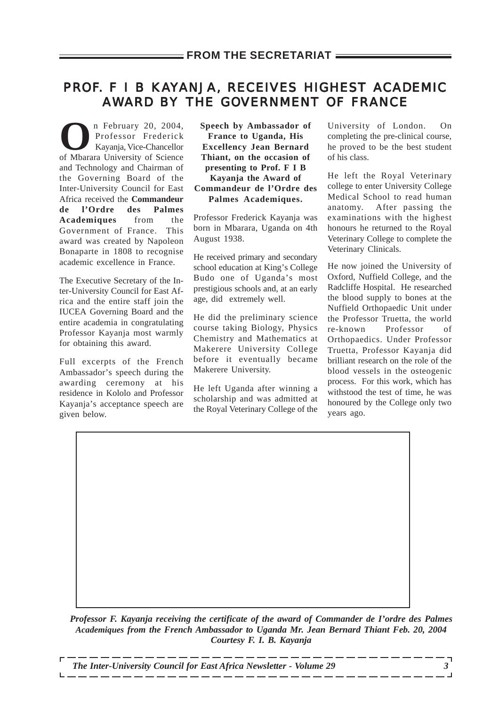## PROF. F I B KAYANJA, RECEIVES HIGHEST ACADEMIC AWARD BY THE GOVERNMENT OF FRANCE

n February 20, 2004,<br>Professor Frederick<br>Kayanja, Vice-Chancellor Professor Frederick Kayanja, Vice-Chancellor of Mbarara University of Science and Technology and Chairman of the Governing Board of the Inter-University Council for East Africa received the **Commandeur de l'Ordre des Palmes Academiques** from the Government of France. This award was created by Napoleon Bonaparte in 1808 to recognise academic excellence in France.

The Executive Secretary of the Inter-University Council for East Africa and the entire staff join the IUCEA Governing Board and the entire academia in congratulating Professor Kayanja most warmly for obtaining this award.

Full excerpts of the French Ambassador's speech during the awarding ceremony at his residence in Kololo and Professor Kayanja's acceptance speech are given below.

**Speech by Ambassador of France to Uganda, His Excellency Jean Bernard Thiant, on the occasion of presenting to Prof. F I B Kayanja the Award of Commandeur de l'Ordre des Palmes Academiques.**

Professor Frederick Kayanja was born in Mbarara, Uganda on 4th August 1938.

He received primary and secondary school education at King's College Budo one of Uganda's most prestigious schools and, at an early age, did extremely well.

He did the preliminary science course taking Biology, Physics Chemistry and Mathematics at Makerere University College before it eventually became Makerere University.

He left Uganda after winning a scholarship and was admitted at the Royal Veterinary College of the

University of London. On completing the pre-clinical course, he proved to be the best student of his class.

He left the Royal Veterinary college to enter University College Medical School to read human anatomy. After passing the examinations with the highest honours he returned to the Royal Veterinary College to complete the Veterinary Clinicals.

He now joined the University of Oxford, Nuffield College, and the Radcliffe Hospital. He researched the blood supply to bones at the Nuffield Orthopaedic Unit under the Professor Truetta, the world re-known Professor of Orthopaedics. Under Professor Truetta, Professor Kayanja did brilliant research on the role of the blood vessels in the osteogenic process. For this work, which has withstood the test of time, he was honoured by the College only two years ago.

*Professor F. Kayanja receiving the certificate of the award of Commander de I'ordre des Palmes Academiques from the French Ambassador to Uganda Mr. Jean Bernard Thiant Feb. 20, 2004 Courtesy F. I. B. Kayanja*

*The Inter-University Council for East Africa Newsletter - Volume 29 3*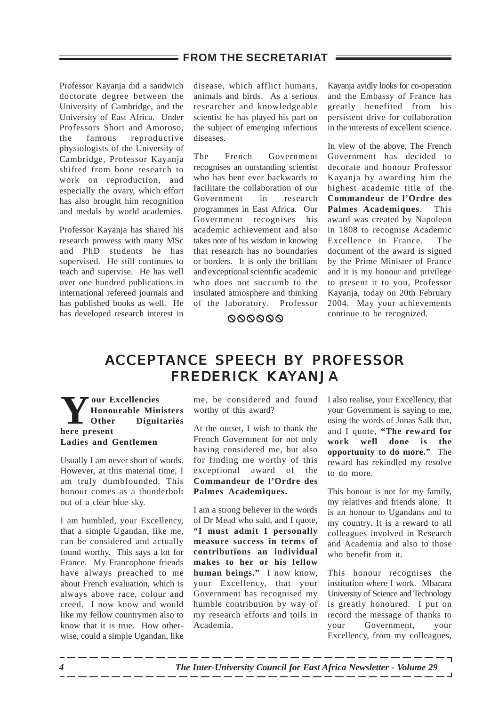Professor Kayanja did a sandwich doctorate degree between the University of Cambridge, and the University of East Africa. Under Professors Short and Amoroso, the famous reproductive physiologists of the University of Cambridge, Professor Kayanja shifted from bone research to work on reproduction, and especially the ovary, which effort has also brought him recognition and medals by world academies.

Professor Kayanja has shared his research prowess with many MSc and PhD students he has supervised. He still continues to teach and supervise. He has well over one hundred publications in international refereed journals and has published books as well. He has developed research interest in

disease, which afflict humans, animals and birds. As a serious researcher and knowledgeable scientist he has played his part on the subject of emerging infectious diseases.

The French Government recognises an outstanding scientist who has bent ever backwards to facilitate the collaboration of our Government in research programmes in East Africa. Our Government recognises his academic achievement and also takes note of his wisdom in knowing that research has no boundaries or borders. It is only the brilliant and exceptional scientific academic who does not succumb to the insulated atmosphere and thinking of the laboratory. Professor

Kayanja avidly looks for co-operation and the Embassy of France has greatly benefited from his persistent drive for collaboration in the interests of excellent science.

In view of the above, The French Government has decided to decorate and honour Professor Kayanja by awarding him the highest academic title of the **Commandeur de l'Ordre des Palmes Academiques**. This award was created by Napoleon in 1808 to recognise Academic Excellence in France. The document of the award is signed by the Prime Minister of France and it is my honour and privilege to present it to you, Professor Kayanja, today on 20th February 2004. May your achievements **OOOOOO** continue to be recognized.

## ACCEPTANCE SPEECH BY PROFESSOR<br>FREDERICK KAYANJA FREDERICK KAYANJA

**Y** our Excellencies<br> **Manual Excellencies**<br> **Surface Present Honourable Ministers Other Dignitaries here present Ladies and Gentlemen**

Usually I am never short of words. However, at this material time, I am truly dumbfounded. This honour comes as a thunderbolt out of a clear blue sky.

I am humbled, your Excellency, that a simple Ugandan, like me, can be considered and actually found worthy. This says a lot for France. My Francophone friends have always preached to me about French evaluation, which is always above race, colour and creed. I now know and would like my fellow countrymen also to know that it is true. How otherwise, could a simple Ugandan, like

me, be considered and found worthy of this award?

At the outset, I wish to thank the French Government for not only having considered me, but also for finding me worthy of this exceptional award of the **Commandeur de l'Ordre des Palmes Academiques.**

I am a strong believer in the words of Dr Mead who said, and I quote, **"I must admit I personally measure success in terms of contributions an individual makes to her or his fellow human beings."** I now know, your Excellency, that your Government has recognised my humble contribution by way of my research efforts and toils in Academia.

I also realise, your Excellency, that your Government is saying to me, using the words of Jonas Salk that, and I quote, **"The reward for work well done is the opportunity to do more."** The reward has rekindled my resolve to do more.

This honour is not for my family, my relatives and friends alone. It is an honour to Ugandans and to my country. It is a reward to all colleagues involved in Research and Academia and also to those who benefit from it.

This honour recognises the institution where I work. Mbarara University of Science and Technology is greatly honoured. I put on record the message of thanks to your Government, your Excellency, from my colleagues,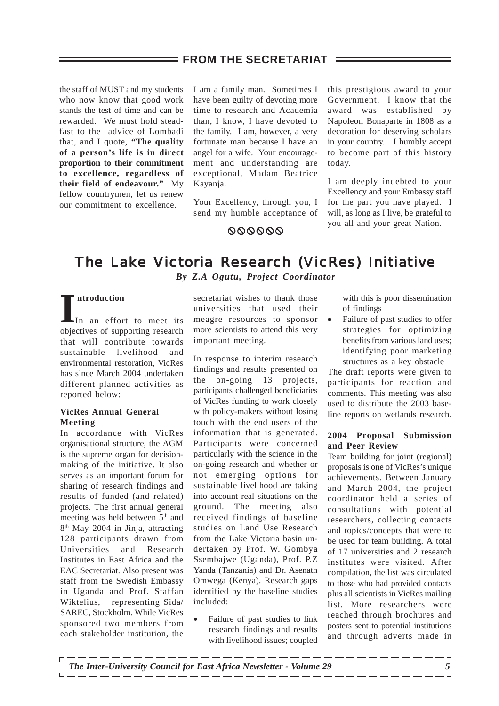### $\equiv$  FROM THE SECRETARIAT  $\equiv$

the staff of MUST and my students who now know that good work stands the test of time and can be rewarded. We must hold steadfast to the advice of Lombadi that, and I quote, **"The quality of a person's life is in direct proportion to their commitment to excellence, regardless of their field of endeavour."** My fellow countrymen, let us renew our commitment to excellence.

I am a family man. Sometimes I have been guilty of devoting more time to research and Academia than, I know, I have devoted to the family. I am, however, a very fortunate man because I have an angel for a wife. Your encouragement and understanding are exceptional, Madam Beatrice Kayanja.

Your Excellency, through you, I send my humble acceptance of this prestigious award to your Government. I know that the award was established by Napoleon Bonaparte in 1808 as a decoration for deserving scholars in your country. I humbly accept to become part of this history today.

I am deeply indebted to your Excellency and your Embassy staff for the part you have played. I will, as long as I live, be grateful to you all and your great Nation.

## 000000

## The Lake Victoria Research (VicRes) Initiative

*By Z.A Ogutu, Project Coordinator*

#### **ntroduction**

**I** In an effort to meet its objectives of supporting research that will contribute towards sustainable livelihood and environmental restoration, VicRes has since March 2004 undertaken different planned activities as reported below:

#### **VicRes Annual General Meeting**

In accordance with VicRes organisational structure, the AGM is the supreme organ for decisionmaking of the initiative. It also serves as an important forum for sharing of research findings and results of funded (and related) projects. The first annual general meeting was held between 5<sup>th</sup> and 8th May 2004 in Jinja, attracting 128 participants drawn from Universities and Research Institutes in East Africa and the EAC Secretariat. Also present was staff from the Swedish Embassy in Uganda and Prof. Staffan Wiktelius, representing Sida/ SAREC, Stockholm. While VicRes sponsored two members from each stakeholder institution, the

secretariat wishes to thank those universities that used their meagre resources to sponsor more scientists to attend this very important meeting.

In response to interim research findings and results presented on the on-going 13 projects, participants challenged beneficiaries of VicRes funding to work closely with policy-makers without losing touch with the end users of the information that is generated. Participants were concerned particularly with the science in the on-going research and whether or not emerging options for sustainable livelihood are taking into account real situations on the ground. The meeting also received findings of baseline studies on Land Use Research from the Lake Victoria basin undertaken by Prof. W. Gombya Ssembajwe (Uganda), Prof. P.Z Yanda (Tanzania) and Dr. Asenath Omwega (Kenya). Research gaps identified by the baseline studies included:

• Failure of past studies to link research findings and results with livelihood issues; coupled with this is poor dissemination of findings

• Failure of past studies to offer strategies for optimizing benefits from various land uses; identifying poor marketing structures as a key obstacle

The draft reports were given to participants for reaction and comments. This meeting was also used to distribute the 2003 baseline reports on wetlands research.

#### **2004 Proposal Submission and Peer Review**

Team building for joint (regional) proposals is one of VicRes's unique achievements. Between January and March 2004, the project coordinator held a series of consultations with potential researchers, collecting contacts and topics/concepts that were to be used for team building. A total of 17 universities and 2 research institutes were visited. After compilation, the list was circulated to those who had provided contacts plus all scientists in VicRes mailing list. More researchers were reached through brochures and posters sent to potential institutions and through adverts made in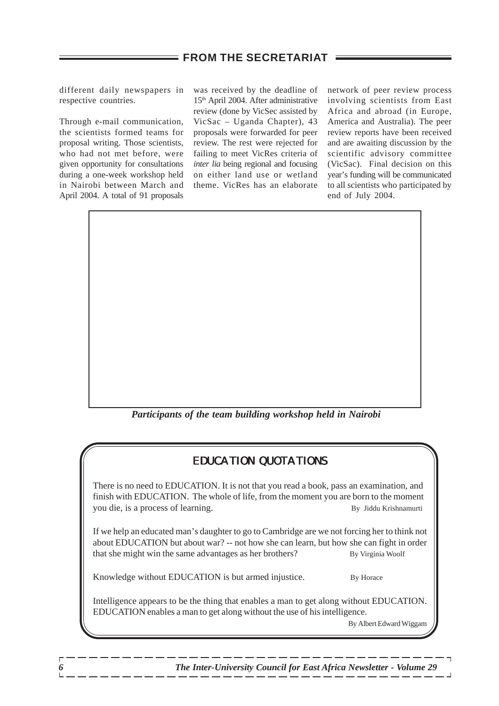different daily newspapers in respective countries.

Through e-mail communication, the scientists formed teams for proposal writing. Those scientists, who had not met before, were given opportunity for consultations during a one-week workshop held in Nairobi between March and April 2004. A total of 91 proposals

was received by the deadline of 15th April 2004. After administrative review (done by VicSec assisted by VicSac – Uganda Chapter), 43 proposals were forwarded for peer review. The rest were rejected for failing to meet VicRes criteria of *inter lia* being regional and focusing on either land use or wetland theme. VicRes has an elaborate network of peer review process involving scientists from East Africa and abroad (in Europe, America and Australia). The peer review reports have been received and are awaiting discussion by the scientific advisory committee (VicSac). Final decision on this year's funding will be communicated to all scientists who participated by end of July 2004.

*Participants of the team building workshop held in Nairobi*

## EDUCATION QUOTATIONS

There is no need to EDUCATION. It is not that you read a book, pass an examination, and finish with EDUCATION. The whole of life, from the moment you are born to the moment you die, is a process of learning. By Jiddu Krishnamurti

If we help an educated man's daughter to go to Cambridge are we not forcing her to think not about EDUCATION but about war? -- not how she can learn, but how she can fight in order that she might win the same advantages as her brothers? By Virginia Woolf

Knowledge without EDUCATION is but armed injustice. By Horace

Intelligence appears to be the thing that enables a man to get along without EDUCATION. EDUCATION enables a man to get along without the use of his intelligence.

By Albert Edward Wiggam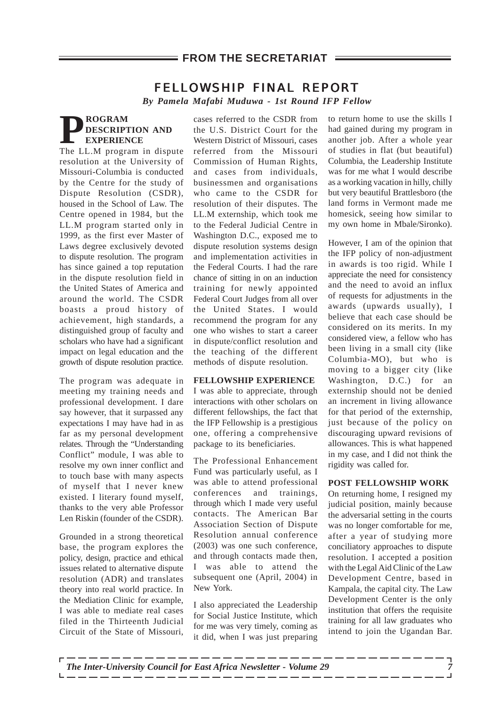## FELLOWSHIP FINAL REPORT

*By Pamela Mafabi Muduwa - 1st Round IFP Fellow*

## **PROGRAM**<br> **PROGRAM**<br> **EXPERIEN**<br> **The LL M PROGRAM DESCRIPTION AND EXPERIENCE**

The LL.M program in dispute resolution at the University of Missouri-Columbia is conducted by the Centre for the study of Dispute Resolution (CSDR), housed in the School of Law. The Centre opened in 1984, but the LL.M program started only in 1999, as the first ever Master of Laws degree exclusively devoted to dispute resolution. The program has since gained a top reputation in the dispute resolution field in the United States of America and around the world. The CSDR boasts a proud history of achievement, high standards, a distinguished group of faculty and scholars who have had a significant impact on legal education and the growth of dispute resolution practice.

The program was adequate in meeting my training needs and professional development. I dare say however, that it surpassed any expectations I may have had in as far as my personal development relates. Through the "Understanding Conflict" module, I was able to resolve my own inner conflict and to touch base with many aspects of myself that I never knew existed. I literary found myself, thanks to the very able Professor Len Riskin (founder of the CSDR).

Grounded in a strong theoretical base, the program explores the policy, design, practice and ethical issues related to alternative dispute resolution (ADR) and translates theory into real world practice. In the Mediation Clinic for example, I was able to mediate real cases filed in the Thirteenth Judicial Circuit of the State of Missouri, cases referred to the CSDR from the U.S. District Court for the Western District of Missouri, cases referred from the Missouri Commission of Human Rights, and cases from individuals, businessmen and organisations who came to the CSDR for resolution of their disputes. The LL.M externship, which took me to the Federal Judicial Centre in Washington D.C., exposed me to dispute resolution systems design and implementation activities in the Federal Courts. I had the rare chance of sitting in on an induction training for newly appointed Federal Court Judges from all over the United States. I would recommend the program for any one who wishes to start a career in dispute/conflict resolution and the teaching of the different methods of dispute resolution.

#### **FELLOWSHIP EXPERIENCE**

I was able to appreciate, through interactions with other scholars on different fellowships, the fact that the IFP Fellowship is a prestigious one, offering a comprehensive package to its beneficiaries.

The Professional Enhancement Fund was particularly useful, as I was able to attend professional conferences and trainings, through which I made very useful contacts. The American Bar Association Section of Dispute Resolution annual conference (2003) was one such conference, and through contacts made then, I was able to attend the subsequent one (April, 2004) in New York.

I also appreciated the Leadership for Social Justice Institute, which for me was very timely, coming as it did, when I was just preparing to return home to use the skills I had gained during my program in another job. After a whole year of studies in flat (but beautiful) Columbia, the Leadership Institute was for me what I would describe as a working vacation in hilly, chilly but very beautiful Brattlesboro (the land forms in Vermont made me homesick, seeing how similar to my own home in Mbale/Sironko).

However, I am of the opinion that the IFP policy of non-adjustment in awards is too rigid. While I appreciate the need for consistency and the need to avoid an influx of requests for adjustments in the awards (upwards usually), I believe that each case should be considered on its merits. In my considered view, a fellow who has been living in a small city (like Columbia-MO), but who is moving to a bigger city (like Washington, D.C.) for an externship should not be denied an increment in living allowance for that period of the externship, just because of the policy on discouraging upward revisions of allowances. This is what happened in my case, and I did not think the rigidity was called for.

#### **POST FELLOWSHIP WORK**

On returning home, I resigned my judicial position, mainly because the adversarial setting in the courts was no longer comfortable for me, after a year of studying more conciliatory approaches to dispute resolution. I accepted a position with the Legal Aid Clinic of the Law Development Centre, based in Kampala, the capital city. The Law Development Center is the only institution that offers the requisite training for all law graduates who intend to join the Ugandan Bar.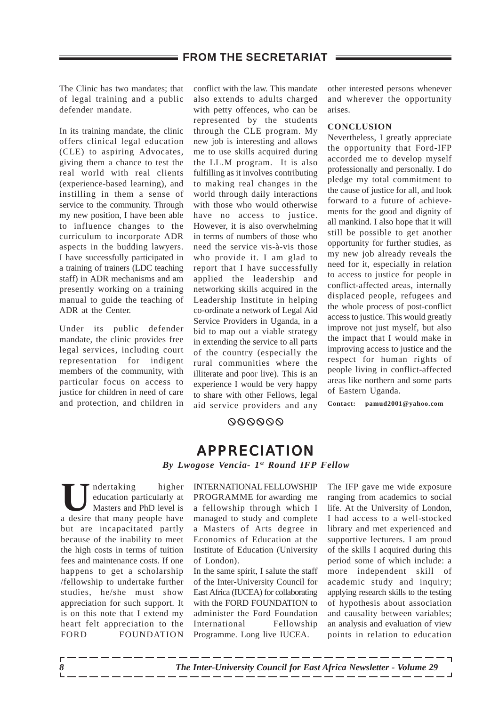The Clinic has two mandates; that of legal training and a public defender mandate.

In its training mandate, the clinic offers clinical legal education (CLE) to aspiring Advocates, giving them a chance to test the real world with real clients (experience-based learning), and instilling in them a sense of service to the community. Through my new position, I have been able to influence changes to the curriculum to incorporate ADR aspects in the budding lawyers. I have successfully participated in a training of trainers (LDC teaching staff) in ADR mechanisms and am presently working on a training manual to guide the teaching of ADR at the Center.

Under its public defender mandate, the clinic provides free legal services, including court representation for indigent members of the community, with particular focus on access to justice for children in need of care and protection, and children in

conflict with the law. This mandate also extends to adults charged with petty offences, who can be represented by the students through the CLE program. My new job is interesting and allows me to use skills acquired during the LL.M program. It is also fulfilling as it involves contributing to making real changes in the world through daily interactions with those who would otherwise have no access to justice. However, it is also overwhelming in terms of numbers of those who need the service vis-à-vis those who provide it. I am glad to report that I have successfully applied the leadership and networking skills acquired in the Leadership Institute in helping co-ordinate a network of Legal Aid Service Providers in Uganda, in a bid to map out a viable strategy in extending the service to all parts of the country (especially the rural communities where the illiterate and poor live). This is an experience I would be very happy to share with other Fellows, legal aid service providers and any other interested persons whenever and wherever the opportunity arises.

#### **CONCLUSION**

Nevertheless, I greatly appreciate the opportunity that Ford-IFP accorded me to develop myself professionally and personally. I do pledge my total commitment to the cause of justice for all, and look forward to a future of achievements for the good and dignity of all mankind. I also hope that it will still be possible to get another opportunity for further studies, as my new job already reveals the need for it, especially in relation to access to justice for people in conflict-affected areas, internally displaced people, refugees and the whole process of post-conflict access to justice. This would greatly improve not just myself, but also the impact that I would make in improving access to justice and the respect for human rights of people living in conflict-affected areas like northern and some parts of Eastern Uganda.

**Contact: pamud2001@yahoo.com**

#### 000000

## APPRECIATION

*By Lwogose Vencia- 1st Round IFP Fellow*

I<br> **U**ndertaking higher<br>
Masters and PhD level is<br>
a desire that many people have education particularly at Masters and PhD level is a desire that many people have but are incapacitated partly because of the inability to meet the high costs in terms of tuition fees and maintenance costs. If one happens to get a scholarship /fellowship to undertake further studies, he/she must show appreciation for such support. It is on this note that I extend my heart felt appreciation to the FORD FOUNDATION

INTERNATIONAL FELLOWSHIP PROGRAMME for awarding me a fellowship through which I managed to study and complete a Masters of Arts degree in Economics of Education at the Institute of Education (University of London).

In the same spirit, I salute the staff of the Inter-University Council for East Africa (IUCEA) for collaborating with the FORD FOUNDATION to administer the Ford Foundation International Fellowship Programme. Long live IUCEA.

The IFP gave me wide exposure ranging from academics to social life. At the University of London, I had access to a well-stocked library and met experienced and supportive lecturers. I am proud of the skills I acquired during this period some of which include: a more independent skill of academic study and inquiry; applying research skills to the testing of hypothesis about association and causality between variables; an analysis and evaluation of view points in relation to education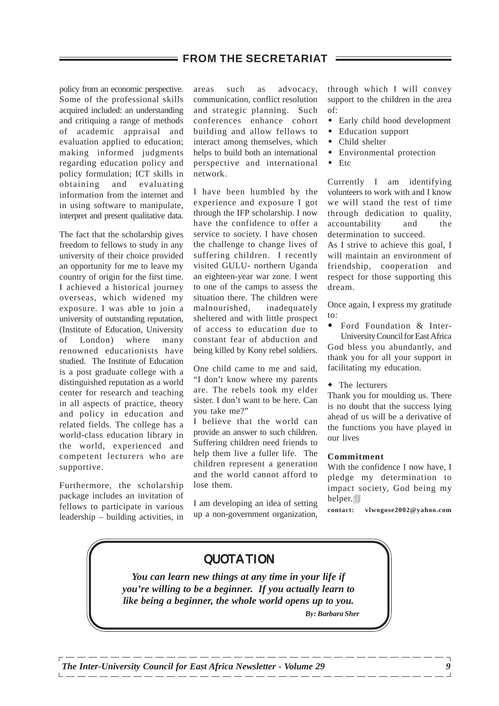policy from an economic perspective. Some of the professional skills acquired included: an understanding and critiquing a range of methods of academic appraisal and evaluation applied to education; making informed judgments regarding education policy and policy formulation; ICT skills in obtaining and evaluating information from the internet and in using software to manipulate, interpret and present qualitative data.

The fact that the scholarship gives freedom to fellows to study in any university of their choice provided an opportunity for me to leave my country of origin for the first time. I achieved a historical journey overseas, which widened my exposure. I was able to join a university of outstanding reputation, (Institute of Education, University of London) where many renowned educationists have studied. The Institute of Education is a post graduate college with a distinguished reputation as a world center for research and teaching in all aspects of practice, theory and policy in education and related fields. The college has a world-class education library in the world, experienced and competent lecturers who are supportive.

Furthermore, the scholarship package includes an invitation of fellows to participate in various leadership – building activities, in areas such as advocacy, communication, conflict resolution and strategic planning. Such conferences enhance cohort building and allow fellows to interact among themselves, which helps to build both an international perspective and international network.

I have been humbled by the experience and exposure I got through the IFP scholarship. I now have the confidence to offer a service to society. I have chosen the challenge to change lives of suffering children. I recently visited GULU- northern Uganda an eighteen-year war zone. I went to one of the camps to assess the situation there. The children were malnourished, inadequately sheltered and with little prospect of access to education due to constant fear of abduction and being killed by Kony rebel soldiers.

One child came to me and said, "I don't know where my parents are. The rebels took my elder sister. I don't want to be here. Can you take me?"

I believe that the world can provide an answer to such children. Suffering children need friends to help them live a fuller life. The children represent a generation and the world cannot afford to lose them.

I am developing an idea of setting up a non-government organization,

through which I will convey support to the children in the area of:

- Early child hood development
- ! Education support
- Child shelter
- Environmental protection
- $\bullet$  Etc

Currently I am identifying volunteers to work with and I know we will stand the test of time through dedication to quality, accountability and the determination to succeed.

As I strive to achieve this goal, I will maintain an environment of friendship, cooperation and respect for those supporting this dream.

Once again, I express my gratitude to:

- ! Ford Foundation & Inter-University Council for East Africa God bless you abundantly, and thank you for all your support in facilitating my education.
- The lecturers

Thank you for moulding us. There is no doubt that the success lying ahead of us will be a derivative of the functions you have played in our lives

#### **Commitment**

With the confidence I now have, I pledge my determination to impact society, God being my helper.

**contact: vlwogose2002@yahoo.com**

## QUOTATION

*You can learn new things at any time in your life if you're willing to be a beginner. If you actually learn to like being a beginner, the whole world opens up to you. By: Barbara Sher*

*The Inter-University Council for East Africa Newsletter - Volume 29* 99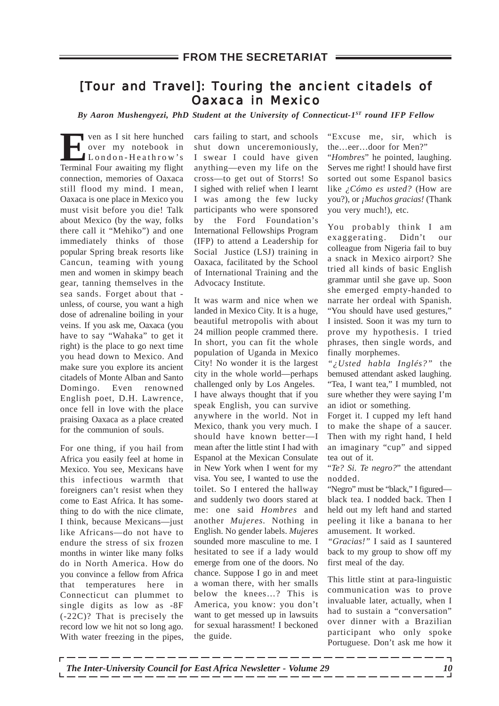## [Tour and Travel]: Touring the ancient citadels of<br>Oaxaca in Mexico Oaxaca in Mexico

*By Aaron Mushengyezi, PhD Student at the University of Connecticut-1ST round IFP Fellow*

**E**ven as I sit here hunched London-Heathrow's over my notebook in Terminal Four awaiting my flight connection, memories of Oaxaca still flood my mind. I mean, Oaxaca is one place in Mexico you must visit before you die! Talk about Mexico (by the way, folks there call it "Mehiko") and one immediately thinks of those popular Spring break resorts like Cancun, teaming with young men and women in skimpy beach gear, tanning themselves in the sea sands. Forget about that unless, of course, you want a high dose of adrenaline boiling in your veins. If you ask me, Oaxaca (you have to say "Wahaka" to get it right) is the place to go next time you head down to Mexico. And make sure you explore its ancient citadels of Monte Alban and Santo Domingo. Even renowned English poet, D.H. Lawrence, once fell in love with the place praising Oaxaca as a place created for the communion of souls.

For one thing, if you hail from Africa you easily feel at home in Mexico. You see, Mexicans have this infectious warmth that foreigners can't resist when they come to East Africa. It has something to do with the nice climate, I think, because Mexicans—just like Africans—do not have to endure the stress of six frozen months in winter like many folks do in North America. How do you convince a fellow from Africa that temperatures here in Connecticut can plummet to single digits as low as -8F (-22C)? That is precisely the record low we hit not so long ago. With water freezing in the pipes,

cars failing to start, and schools shut down unceremoniously, I swear I could have given anything—even my life on the cross—to get out of Storrs! So I sighed with relief when I learnt I was among the few lucky participants who were sponsored by the Ford Foundation's International Fellowships Program (IFP) to attend a Leadership for Social Justice (LSJ) training in Oaxaca, facilitated by the School of International Training and the Advocacy Institute.

It was warm and nice when we landed in Mexico City. It is a huge, beautiful metropolis with about 24 million people crammed there. In short, you can fit the whole population of Uganda in Mexico City! No wonder it is the largest city in the whole world—perhaps challenged only by Los Angeles. I have always thought that if you speak English, you can survive anywhere in the world. Not in Mexico, thank you very much. I should have known better—I mean after the little stint I had with Espanol at the Mexican Consulate in New York when I went for my visa. You see, I wanted to use the toilet. So I entered the hallway and suddenly two doors stared at me: one said *Hombres* and another *Mujeres.* Nothing in English. No gender labels. *Mujeres* sounded more masculine to me. I hesitated to see if a lady would emerge from one of the doors. No chance. Suppose I go in and meet a woman there, with her smalls below the knees…? This is America, you know: you don't want to get messed up in lawsuits for sexual harassment! I beckoned the guide.

"Excuse me, sir, which is the…eer…door for Men?" "*Hombres*" he pointed, laughing. Serves me right! I should have first sorted out some Espanol basics like *¿Cómo es usted?* (How are you?), or *¡Muchos gracias!* (Thank you very much!), etc.

You probably think I am exaggerating. Didn't our colleague from Nigeria fail to buy a snack in Mexico airport? She tried all kinds of basic English grammar until she gave up. Soon she emerged empty-handed to narrate her ordeal with Spanish. "You should have used gestures," I insisted. Soon it was my turn to prove my hypothesis. I tried phrases, then single words, and finally morphemes.

*"¿Usted habla Inglés?"* the bemused attendant asked laughing. "Tea, I want tea," I mumbled, not sure whether they were saying I'm an idiot or something.

Forget it. I cupped my left hand to make the shape of a saucer. Then with my right hand, I held an imaginary "cup" and sipped tea out of it.

"*Te? Si. Te negro?*" the attendant nodded.

"Negro" must be "black," I figured black tea. I nodded back. Then I held out my left hand and started peeling it like a banana to her amusement. It worked.

*"Gracias!"* I said as I sauntered back to my group to show off my first meal of the day.

This little stint at para-linguistic communication was to prove invaluable later, actually, when I had to sustain a "conversation" over dinner with a Brazilian participant who only spoke Portuguese. Don't ask me how it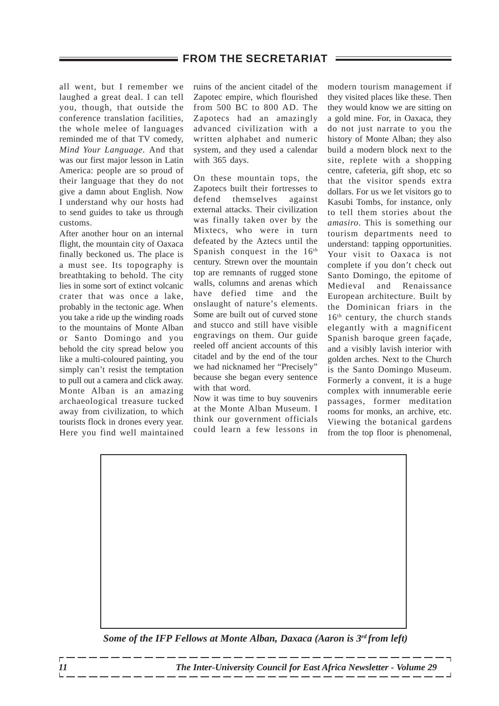all went, but I remember we laughed a great deal. I can tell you, though, that outside the conference translation facilities, the whole melee of languages reminded me of that TV comedy, *Mind Your Language.* And that was our first major lesson in Latin America: people are so proud of their language that they do not give a damn about English. Now I understand why our hosts had to send guides to take us through customs.

After another hour on an internal flight, the mountain city of Oaxaca finally beckoned us. The place is a must see. Its topography is breathtaking to behold. The city lies in some sort of extinct volcanic crater that was once a lake, probably in the tectonic age. When you take a ride up the winding roads to the mountains of Monte Alban or Santo Domingo and you behold the city spread below you like a multi-coloured painting, you simply can't resist the temptation to pull out a camera and click away. Monte Alban is an amazing archaeological treasure tucked away from civilization, to which tourists flock in drones every year. Here you find well maintained

ruins of the ancient citadel of the Zapotec empire, which flourished from 500 BC to 800 AD. The Zapotecs had an amazingly advanced civilization with a written alphabet and numeric system, and they used a calendar with 365 days.

On these mountain tops, the Zapotecs built their fortresses to defend themselves against external attacks. Their civilization was finally taken over by the Mixtecs, who were in turn defeated by the Aztecs until the Spanish conquest in the 16<sup>th</sup> century. Strewn over the mountain top are remnants of rugged stone walls, columns and arenas which have defied time and the onslaught of nature's elements. Some are built out of curved stone and stucco and still have visible engravings on them. Our guide reeled off ancient accounts of this citadel and by the end of the tour we had nicknamed her "Precisely" because she began every sentence with that word.

Now it was time to buy souvenirs at the Monte Alban Museum. I think our government officials could learn a few lessons in

modern tourism management if they visited places like these. Then they would know we are sitting on a gold mine. For, in Oaxaca, they do not just narrate to you the history of Monte Alban; they also build a modern block next to the site, replete with a shopping centre, cafeteria, gift shop, etc so that the visitor spends extra dollars. For us we let visitors go to Kasubi Tombs, for instance, only to tell them stories about the *amasiro.* This is something our tourism departments need to understand: tapping opportunities. Your visit to Oaxaca is not complete if you don't check out Santo Domingo, the epitome of Medieval and Renaissance European architecture. Built by the Dominican friars in the  $16<sup>th</sup>$  century, the church stands elegantly with a magnificent Spanish baroque green façade, and a visibly lavish interior with golden arches. Next to the Church is the Santo Domingo Museum. Formerly a convent, it is a huge complex with innumerable eerie passages, former meditation rooms for monks, an archive, etc. Viewing the botanical gardens from the top floor is phenomenal,



*Some of the IFP Fellows at Monte Alban, Daxaca (Aaron is 3rd from left)*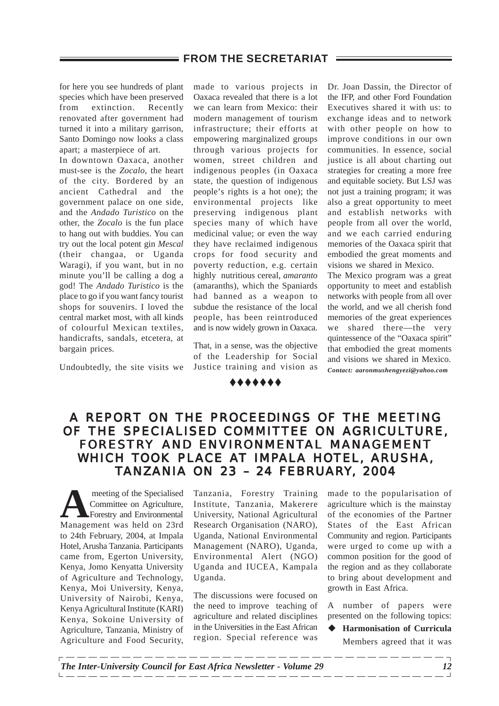for here you see hundreds of plant species which have been preserved from extinction. Recently renovated after government had turned it into a military garrison, Santo Domingo now looks a class apart; a masterpiece of art.

In downtown Oaxaca, another must-see is the *Zocalo,* the heart of the city. Bordered by an ancient Cathedral and the government palace on one side, and the *Andado Turistico* on the other, the *Zocalo* is the fun place to hang out with buddies. You can try out the local potent gin *Mescal* (their changaa, or Uganda Waragi), if you want, but in no minute you'll be calling a dog a god! The *Andado Turistico* is the place to go if you want fancy tourist shops for souvenirs. I loved the central market most, with all kinds of colourful Mexican textiles, handicrafts, sandals, etcetera, at bargain prices.

Undoubtedly, the site visits we

made to various projects in Oaxaca revealed that there is a lot we can learn from Mexico: their modern management of tourism infrastructure; their efforts at empowering marginalized groups through various projects for women, street children and indigenous peoples (in Oaxaca state, the question of indigenous people's rights is a hot one); the environmental projects like preserving indigenous plant species many of which have medicinal value; or even the way they have reclaimed indigenous crops for food security and poverty reduction, e.g. certain highly nutritious cereal, *amaranto* (amaranths), which the Spaniards had banned as a weapon to subdue the resistance of the local people, has been reintroduced and is now widely grown in Oaxaca.

That, in a sense, was the objective of the Leadership for Social Justice training and vision as

#######

Dr. Joan Dassin, the Director of the IFP, and other Ford Foundation Executives shared it with us: to exchange ideas and to network with other people on how to improve conditions in our own communities. In essence, social justice is all about charting out strategies for creating a more free and equitable society. But LSJ was not just a training program; it was also a great opportunity to meet and establish networks with people from all over the world, and we each carried enduring memories of the Oaxaca spirit that embodied the great moments and visions we shared in Mexico.

The Mexico program was a great opportunity to meet and establish networks with people from all over the world, and we all cherish fond memories of the great experiences we shared there—the very quintessence of the "Oaxaca spirit" that embodied the great moments and visions we shared in Mexico. *Contact: aaronmushengyezi@yahoo.com*

## A REPORT ON THE PROCEEDINGS OF THE MEETING OF THE SPECIALISED COMMITTEE ON AGRICULTURE, <sup>:</sup> THE SPECIALISED COMMITTEE ON AGRICULTURE,<br>FORESTRY AND ENVIRONMENTAL MANAGEMENT WHICH TOOK PLACE AT IMPALA HOTEL, ARUSHA, WHICH IMPALA HOTEL, ARUSHA, TANZANIA ON 23 - 24 FEBRUARY, 2004

meeting of the Specialised<br>
Committee on Agriculture,<br>
Forestry and Environmental<br>
Management, was held on 23rd Committee on Agriculture, Management was held on 23rd to 24th February, 2004, at Impala Hotel, Arusha Tanzania. Participants came from, Egerton University, Kenya, Jomo Kenyatta University of Agriculture and Technology, Kenya, Moi University, Kenya, University of Nairobi, Kenya, Kenya Agricultural Institute (KARI) Kenya, Sokoine University of Agriculture, Tanzania, Ministry of Agriculture and Food Security,

Tanzania, Forestry Training Institute, Tanzania, Makerere University, National Agricultural Research Organisation (NARO), Uganda, National Environmental Management (NARO), Uganda, Environmental Alert (NGO) Uganda and IUCEA, Kampala Uganda.

The discussions were focused on the need to improve teaching of agriculture and related disciplines in the Universities in the East African region. Special reference was

made to the popularisation of agriculture which is the mainstay of the economies of the Partner States of the East African Community and region. Participants were urged to come up with a common position for the good of the region and as they collaborate to bring about development and growth in East Africa.

A number of papers were presented on the following topics:

**Harmonisation of Curricula** Members agreed that it was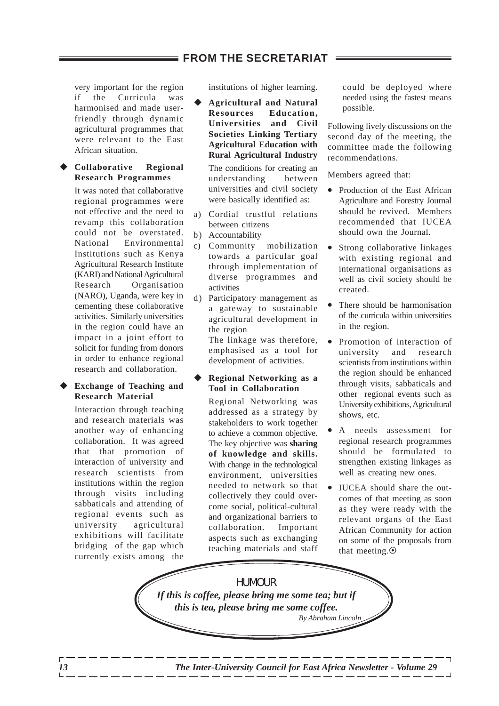very important for the region if the Curricula was harmonised and made userfriendly through dynamic agricultural programmes that were relevant to the East African situation.

#### $Collaborative$  Regional **Research Programmes**

It was noted that collaborative regional programmes were not effective and the need to revamp this collaboration could not be overstated. National Environmental Institutions such as Kenya Agricultural Research Institute (KARI) and National Agricultural Research Organisation (NARO), Uganda, were key in cementing these collaborative activities. Similarly universities in the region could have an impact in a joint effort to solicit for funding from donors in order to enhance regional research and collaboration.

#### **Exchange of Teaching and Research Material**

Interaction through teaching and research materials was another way of enhancing collaboration. It was agreed that that promotion of interaction of university and research scientists from institutions within the region through visits including sabbaticals and attending of regional events such as university agricultural exhibitions will facilitate bridging of the gap which currently exists among the

institutions of higher learning.

\$ **Agricultural and Natural Resources Education, Universities and Civil Societies Linking Tertiary Agricultural Education with Rural Agricultural Industry**

The conditions for creating an understanding between universities and civil society were basically identified as:

- a) Cordial trustful relations between citizens
- b) Accountability
- c) Community mobilization towards a particular goal through implementation of diverse programmes and activities
- d) Participatory management as a gateway to sustainable agricultural development in the region

The linkage was therefore, emphasised as a tool for development of activities.

#### \$ **Regional Networking as a Tool in Collaboration**

Regional Networking was addressed as a strategy by stakeholders to work together to achieve a common objective. The key objective was **sharing of knowledge and skills.** With change in the technological environment, universities needed to network so that collectively they could overcome social, political-cultural and organizational barriers to collaboration. Important aspects such as exchanging teaching materials and staff

could be deployed where needed using the fastest means possible.

Following lively discussions on the second day of the meeting, the committee made the following recommendations.

Members agreed that:

- Production of the East African Agriculture and Forestry Journal should be revived. Members recommended that IUCEA should own the Journal.
- Strong collaborative linkages with existing regional and international organisations as well as civil society should be created.
- There should be harmonisation of the curricula within universities in the region.
- Promotion of interaction of university and research scientists from institutions within the region should be enhanced through visits, sabbaticals and other regional events such as University exhibitions, Agricultural shows, etc.
- A needs assessment for regional research programmes should be formulated to strengthen existing linkages as well as creating new ones.
- IUCEA should share the outcomes of that meeting as soon as they were ready with the relevant organs of the East African Community for action on some of the proposals from that meeting. $\odot$

HUMOUR *If this is coffee, please bring me some tea; but if this is tea, please bring me some coffee. By Abraham Lincoln*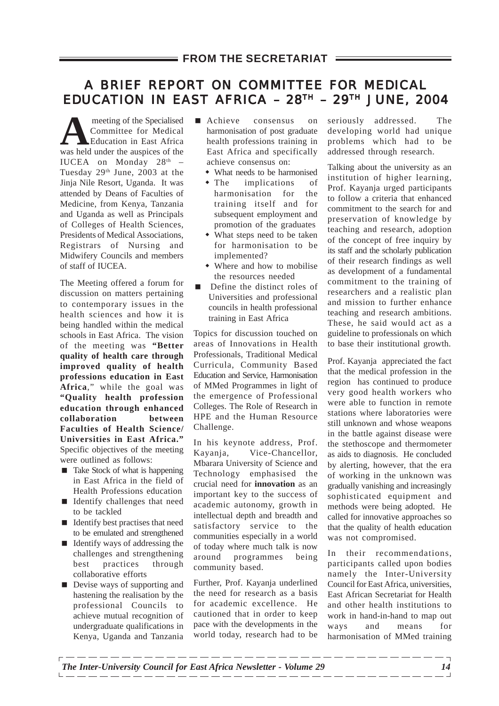## A BRIEF REPORT ON COMMITTEE FOR MEDICAL EDUCATION IN EAST AFRICA –  $28<sup>TH</sup>$  –  $29<sup>TH</sup>$  JUNE, 2004

**A** meeting of the Specialised Committee for Medical Education in East Africa was held under the auspices of the IUCEA on Monday  $28<sup>th</sup>$  -Tuesday 29<sup>th</sup> June, 2003 at the Jinja Nile Resort, Uganda. It was attended by Deans of Faculties of Medicine, from Kenya, Tanzania and Uganda as well as Principals of Colleges of Health Sciences, Presidents of Medical Associations, Registrars of Nursing and Midwifery Councils and members of staff of IUCEA.

The Meeting offered a forum for discussion on matters pertaining to contemporary issues in the health sciences and how it is being handled within the medical schools in East Africa. The vision of the meeting was **"Better quality of health care through improved quality of health professions education in East Africa**," while the goal was **"Quality health profession education through enhanced collaboration between Faculties of Health Science/ Universities in East Africa."** Specific objectives of the meeting were outlined as follows:

- Take Stock of what is happening in East Africa in the field of Health Professions education
- **I.** Identify challenges that need to be tackled
- $\blacksquare$  Identify best practises that need to be emulated and strengthened
- Identify ways of addressing the challenges and strengthening best practices through collaborative efforts
- **Devise ways of supporting and** hastening the realisation by the professional Councils to achieve mutual recognition of undergraduate qualifications in Kenya, Uganda and Tanzania
- **Exercise Achieve consensus on** harmonisation of post graduate health professions training in East Africa and specifically achieve consensus on:
	- What needs to be harmonised
	- The implications of harmonisation for the training itself and for subsequent employment and promotion of the graduates
	- What steps need to be taken for harmonisation to be implemented?
	- Where and how to mobilise the resources needed
- **Define the distinct roles of** Universities and professional councils in health professional training in East Africa

Topics for discussion touched on areas of Innovations in Health Professionals, Traditional Medical Curricula, Community Based Education and Service, Harmonisation of MMed Programmes in light of the emergence of Professional Colleges. The Role of Research in HPE and the Human Resource Challenge.

In his keynote address, Prof. Kayanja, Vice-Chancellor, Mbarara University of Science and Technology emphasised the crucial need for **innovation** as an important key to the success of academic autonomy, growth in intellectual depth and breadth and satisfactory service to the communities especially in a world of today where much talk is now around programmes being community based.

Further, Prof. Kayanja underlined the need for research as a basis for academic excellence. He cautioned that in order to keep pace with the developments in the world today, research had to be seriously addressed. The developing world had unique problems which had to be addressed through research.

Talking about the university as an institution of higher learning, Prof. Kayanja urged participants to follow a criteria that enhanced commitment to the search for and preservation of knowledge by teaching and research, adoption of the concept of free inquiry by its staff and the scholarly publication of their research findings as well as development of a fundamental commitment to the training of researchers and a realistic plan and mission to further enhance teaching and research ambitions. These, he said would act as a guideline to professionals on which to base their institutional growth.

Prof. Kayanja appreciated the fact that the medical profession in the region has continued to produce very good health workers who were able to function in remote stations where laboratories were still unknown and whose weapons in the battle against disease were the stethoscope and thermometer as aids to diagnosis. He concluded by alerting, however, that the era of working in the unknown was gradually vanishing and increasingly sophisticated equipment and methods were being adopted. He called for innovative approaches so that the quality of health education was not compromised.

In their recommendations, participants called upon bodies namely the Inter-University Council for East Africa, universities, East African Secretariat for Health and other health institutions to work in hand-in-hand to map out ways and means for harmonisation of MMed training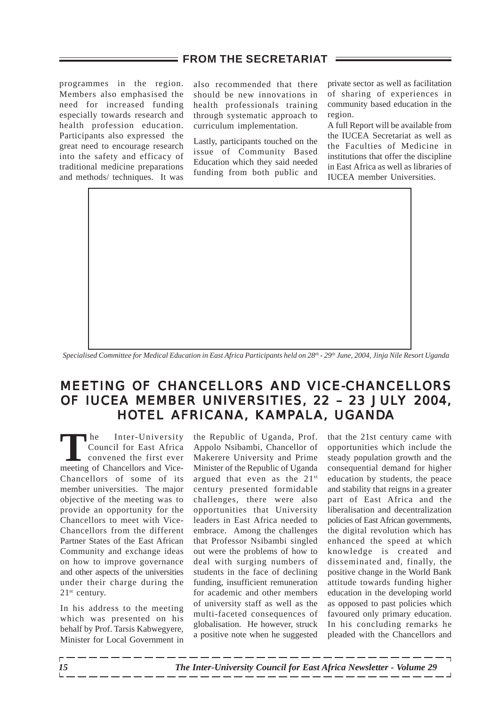programmes in the region. Members also emphasised the need for increased funding especially towards research and health profession education. Participants also expressed the great need to encourage research into the safety and efficacy of traditional medicine preparations and methods/ techniques. It was also recommended that there should be new innovations in health professionals training through systematic approach to curriculum implementation.

Lastly, participants touched on the issue of Community Based Education which they said needed funding from both public and private sector as well as facilitation of sharing of experiences in community based education in the region.

A full Report will be available from the IUCEA Secretariat as well as the Faculties of Medicine in institutions that offer the discipline in East Africa as well as libraries of IUCEA member Universities.



 *Specialised Committee for Medical Education in East Africa Participants held on 28th - 29th June, 2004, Jinja Nile Resort Uganda*

## MEETING OF CHANCELLORS AND VICE-CHANCELLORS OF IUCEA MEMBER UNIVERSITIES, 22 – 23 JULY 2004,<br>HOTEL AFRICANA, KAMPALA, UGANDA HOTEL AFRICANA, KAMPALA, UGANDA

The Inter-University<br>
Council for East Africa<br>
convened the first ever<br>
meeting of Chancellors and Vice Council for East Africa meeting of Chancellors and Vice-Chancellors of some of its member universities. The major objective of the meeting was to provide an opportunity for the Chancellors to meet with Vice-Chancellors from the different Partner States of the East African Community and exchange ideas on how to improve governance and other aspects of the universities under their charge during the 21<sup>st</sup> century.

In his address to the meeting which was presented on his behalf by Prof. Tarsis Kabwegyere, Minister for Local Government in the Republic of Uganda, Prof. Appolo Nsibambi, Chancellor of Makerere University and Prime Minister of the Republic of Uganda argued that even as the 21st century presented formidable challenges, there were also opportunities that University leaders in East Africa needed to embrace. Among the challenges that Professor Nsibambi singled out were the problems of how to deal with surging numbers of students in the face of declining funding, insufficient remuneration for academic and other members of university staff as well as the multi-faceted consequences of globalisation. He however, struck a positive note when he suggested

that the 21st century came with opportunities which include the steady population growth and the consequential demand for higher education by students, the peace and stability that reigns in a greater part of East Africa and the liberalisation and decentralization policies of East African governments, the digital revolution which has enhanced the speed at which knowledge is created and disseminated and, finally, the positive change in the World Bank attitude towards funding higher education in the developing world as opposed to past policies which favoured only primary education. In his concluding remarks he pleaded with the Chancellors and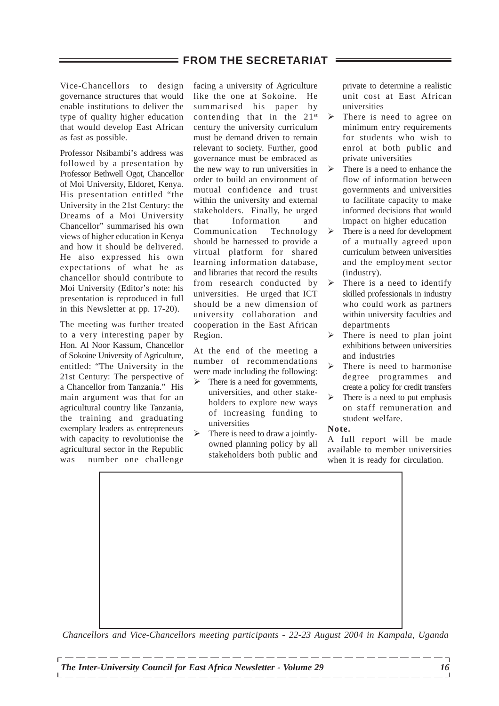Vice-Chancellors to design governance structures that would enable institutions to deliver the type of quality higher education that would develop East African as fast as possible.

Professor Nsibambi's address was followed by a presentation by Professor Bethwell Ogot, Chancellor of Moi University, Eldoret, Kenya. His presentation entitled "the University in the 21st Century: the Dreams of a Moi University Chancellor" summarised his own views of higher education in Kenya and how it should be delivered. He also expressed his own expectations of what he as chancellor should contribute to Moi University (Editor's note: his presentation is reproduced in full in this Newsletter at pp. 17-20).

The meeting was further treated to a very interesting paper by Hon. Al Noor Kassum, Chancellor of Sokoine University of Agriculture, entitled: "The University in the 21st Century: The perspective of a Chancellor from Tanzania." His main argument was that for an agricultural country like Tanzania, the training and graduating exemplary leaders as entrepreneurs with capacity to revolutionise the agricultural sector in the Republic was number one challenge facing a university of Agriculture like the one at Sokoine. He summarised his paper by contending that in the  $21^{st}$ century the university curriculum must be demand driven to remain relevant to society. Further, good governance must be embraced as the new way to run universities in order to build an environment of mutual confidence and trust within the university and external stakeholders. Finally, he urged that Information and Communication Technology should be harnessed to provide a virtual platform for shared learning information database, and libraries that record the results from research conducted by universities. He urged that ICT should be a new dimension of university collaboration and cooperation in the East African Region.

At the end of the meeting a number of recommendations were made including the following:

- $\triangleright$  There is a need for governments, universities, and other stakeholders to explore new ways of increasing funding to universities
- $\triangleright$  There is need to draw a jointlyowned planning policy by all stakeholders both public and

private to determine a realistic unit cost at East African universities

- $\triangleright$  There is need to agree on minimum entry requirements for students who wish to enrol at both public and private universities
- $\triangleright$  There is a need to enhance the flow of information between governments and universities to facilitate capacity to make informed decisions that would impact on higher education
- $\triangleright$  There is a need for development of a mutually agreed upon curriculum between universities and the employment sector (industry).
- $\triangleright$  There is a need to identify skilled professionals in industry who could work as partners within university faculties and departments
- $\triangleright$  There is need to plan joint exhibitions between universities and industries
- $\triangleright$  There is need to harmonise degree programmes and create a policy for credit transfers
- $\triangleright$  There is a need to put emphasis on staff remuneration and student welfare.

#### **Note.**

A full report will be made available to member universities when it is ready for circulation.

*Chancellors and Vice-Chancellors meeting participants - 22-23 August 2004 in Kampala, Uganda*

. <u>. . . . . . . . . . . . . . .</u> . .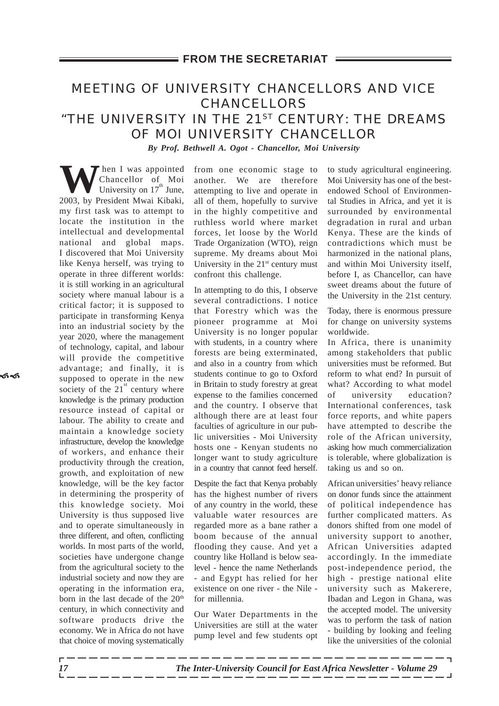## MEETING OF UNIVERSITY CHANCELLORS AND VICE CHANCELLORS "THE UNIVERSITY IN THE 21ST CENTURY: THE DREAMS OF MOI UNIVERSITY CHANCELLOR *By Prof. Bethwell A. Ogot - Chancellor, Moi University*

**W** Chancellor of Moint Chancellor of Moi University on  $17<sup>th</sup>$  June, 2003, by President Mwai Kibaki, my first task was to attempt to locate the institution in the intellectual and developmental national and global maps. I discovered that Moi University like Kenya herself, was trying to operate in three different worlds: it is still working in an agricultural society where manual labour is a critical factor; it is supposed to participate in transforming Kenya into an industrial society by the year 2020, where the management of technology, capital, and labour will provide the competitive advantage; and finally, it is supposed to operate in the new society of the  $21<sup>st</sup>$  century where knowledge is the primary production resource instead of capital or labour. The ability to create and maintain a knowledge society infrastructure, develop the knowledge of workers, and enhance their productivity through the creation, growth, and exploitation of new knowledge, will be the key factor in determining the prosperity of this knowledge society. Moi University is thus supposed live and to operate simultaneously in three different, and often, conflicting worlds. In most parts of the world, societies have undergone change from the agricultural society to the industrial society and now they are operating in the information era, born in the last decade of the 20<sup>th</sup> century, in which connectivity and software products drive the economy. We in Africa do not have that choice of moving systematically

from one economic stage to another. We are therefore attempting to live and operate in all of them, hopefully to survive in the highly competitive and ruthless world where market forces, let loose by the World Trade Organization (WTO), reign supreme. My dreams about Moi University in the  $21<sup>st</sup>$  century must confront this challenge.

In attempting to do this, I observe several contradictions. I notice that Forestry which was the pioneer programme at Moi University is no longer popular with students, in a country where forests are being exterminated, and also in a country from which students continue to go to Oxford in Britain to study forestry at great expense to the families concerned and the country. I observe that although there are at least four faculties of agriculture in our public universities - Moi University hosts one - Kenyan students no longer want to study agriculture in a country that cannot feed herself.

Despite the fact that Kenya probably has the highest number of rivers of any country in the world, these valuable water resources are regarded more as a bane rather a boom because of the annual flooding they cause. And yet a country like Holland is below sealevel - hence the name Netherlands - and Egypt has relied for her existence on one river - the Nile for millennia.

Our Water Departments in the Universities are still at the water pump level and few students opt to study agricultural engineering. Moi University has one of the bestendowed School of Environmental Studies in Africa, and yet it is surrounded by environmental degradation in rural and urban Kenya. These are the kinds of contradictions which must be harmonized in the national plans, and within Moi University itself, before I, as Chancellor, can have sweet dreams about the future of the University in the 21st century.

Today, there is enormous pressure for change on university systems worldwide.

In Africa, there is unanimity among stakeholders that public universities must be reformed. But reform to what end? In pursuit of what? According to what model of university education? International conferences, task force reports, and white papers have attempted to describe the role of the African university, asking how much commercialization is tolerable, where globalization is taking us and so on.

African universities' heavy reliance on donor funds since the attainment of political independence has further complicated matters. As donors shifted from one model of university support to another, African Universities adapted accordingly. In the immediate post-independence period, the high - prestige national elite university such as Makerere, Ibadan and Legon in Ghana, was the accepted model. The university was to perform the task of nation - building by looking and feeling like the universities of the colonial

.<br>ති<sup>ද</sup>ි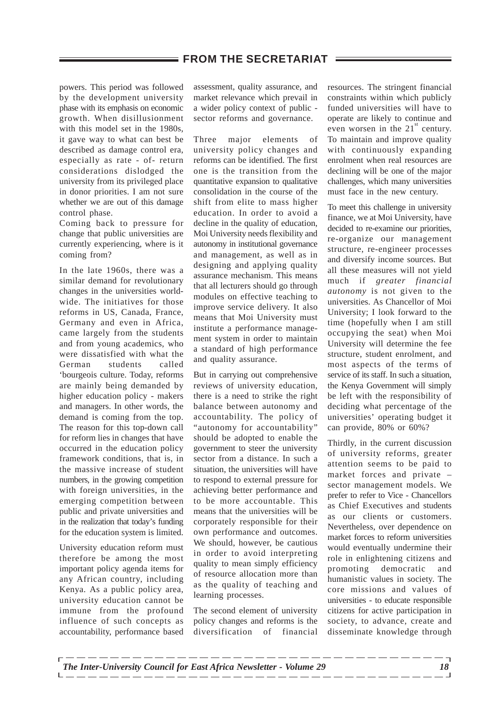powers. This period was followed by the development university phase with its emphasis on economic growth. When disillusionment with this model set in the 1980s, it gave way to what can best be described as damage control era, especially as rate - of- return considerations dislodged the university from its privileged place in donor priorities. I am not sure whether we are out of this damage control phase.

Coming back to pressure for change that public universities are currently experiencing, where is it coming from?

In the late 1960s, there was a similar demand for revolutionary changes in the universities worldwide. The initiatives for those reforms in US, Canada, France, Germany and even in Africa, came largely from the students and from young academics, who were dissatisfied with what the German students called 'bourgeois culture. Today, reforms are mainly being demanded by higher education policy - makers and managers. In other words, the demand is coming from the top. The reason for this top-down call for reform lies in changes that have occurred in the education policy framework conditions, that is, in the massive increase of student numbers, in the growing competition with foreign universities, in the emerging competition between public and private universities and in the realization that today's funding for the education system is limited.

University education reform must therefore be among the most important policy agenda items for any African country, including Kenya. As a public policy area, university education cannot be immune from the profound influence of such concepts as accountability, performance based

assessment, quality assurance, and market relevance which prevail in a wider policy context of public sector reforms and governance.

Three major elements of university policy changes and reforms can be identified. The first one is the transition from the quantitative expansion to qualitative consolidation in the course of the shift from elite to mass higher education. In order to avoid a decline in the quality of education, Moi University needs flexibility and autonomy in institutional governance and management, as well as in designing and applying quality assurance mechanism. This means that all lecturers should go through modules on effective teaching to improve service delivery. It also means that Moi University must institute a performance management system in order to maintain a standard of high performance and quality assurance.

But in carrying out comprehensive reviews of university education, there is a need to strike the right balance between autonomy and accountability. The policy of "autonomy for accountability" should be adopted to enable the government to steer the university sector from a distance. In such a situation, the universities will have to respond to external pressure for achieving better performance and to be more accountable. This means that the universities will be corporately responsible for their own performance and outcomes. We should, however, be cautious in order to avoid interpreting quality to mean simply efficiency of resource allocation more than as the quality of teaching and learning processes.

The second element of university policy changes and reforms is the diversification of financial

resources. The stringent financial constraints within which publicly funded universities will have to operate are likely to continue and even worsen in the  $21<sup>st</sup>$  century. To maintain and improve quality with continuously expanding enrolment when real resources are declining will be one of the major challenges, which many universities must face in the new century.

To meet this challenge in university finance, we at Moi University, have decided to re-examine our priorities, re-organize our management structure, re-engineer processes and diversify income sources. But all these measures will not yield much if *greater financial autonomy* is not given to the universities. As Chancellor of Moi University; I look forward to the time (hopefully when I am still occupying the seat) when Moi University will determine the fee structure, student enrolment, and most aspects of the terms of service of its staff. In such a situation, the Kenya Government will simply be left with the responsibility of deciding what percentage of the universities' operating budget it can provide, 80% or 60%?

Thirdly, in the current discussion of university reforms, greater attention seems to be paid to market forces and private – sector management models. We prefer to refer to Vice - Chancellors as Chief Executives and students as our clients or customers. Nevertheless, over dependence on market forces to reform universities would eventually undermine their role in enlightening citizens and promoting democratic and humanistic values in society. The core missions and values of universities - to educate responsible citizens for active participation in society, to advance, create and disseminate knowledge through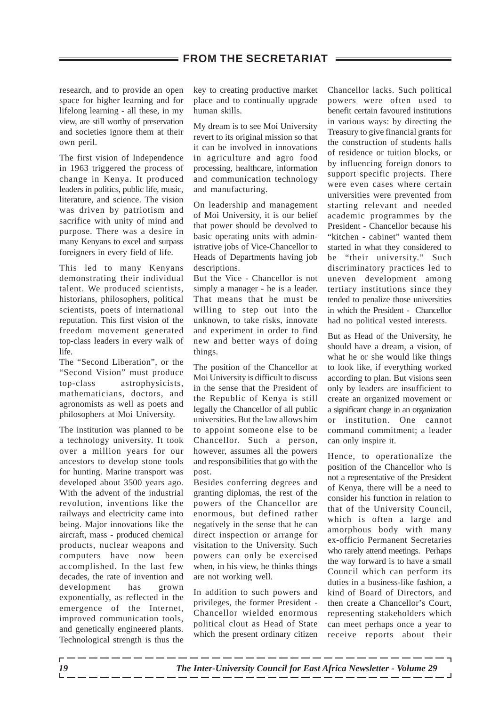research, and to provide an open space for higher learning and for lifelong learning - all these, in my view, are still worthy of preservation and societies ignore them at their own peril.

The first vision of Independence in 1963 triggered the process of change in Kenya. It produced leaders in politics, public life, music, literature, and science. The vision was driven by patriotism and sacrifice with unity of mind and purpose. There was a desire in many Kenyans to excel and surpass foreigners in every field of life.

This led to many Kenyans demonstrating their individual talent. We produced scientists, historians, philosophers, political scientists, poets of international reputation. This first vision of the freedom movement generated top-class leaders in every walk of life.

The "Second Liberation", or the "Second Vision" must produce top-class astrophysicists, mathematicians, doctors, and agronomists as well as poets and philosophers at Moi University.

The institution was planned to be a technology university. It took over a million years for our ancestors to develop stone tools for hunting. Marine transport was developed about 3500 years ago. With the advent of the industrial revolution, inventions like the railways and electricity came into being. Major innovations like the aircraft, mass - produced chemical products, nuclear weapons and computers have now been accomplished. In the last few decades, the rate of invention and development has grown exponentially, as reflected in the emergence of the Internet, improved communication tools, and genetically engineered plants. Technological strength is thus the key to creating productive market place and to continually upgrade human skills.

My dream is to see Moi University revert to its original mission so that it can be involved in innovations in agriculture and agro food processing, healthcare, information and communication technology and manufacturing.

On leadership and management of Moi University, it is our belief that power should be devolved to basic operating units with administrative jobs of Vice-Chancellor to Heads of Departments having job descriptions.

But the Vice - Chancellor is not simply a manager - he is a leader. That means that he must be willing to step out into the unknown, to take risks, innovate and experiment in order to find new and better ways of doing things.

The position of the Chancellor at Moi University is difficult to discuss in the sense that the President of the Republic of Kenya is still legally the Chancellor of all public universities. But the law allows him to appoint someone else to be Chancellor. Such a person, however, assumes all the powers and responsibilities that go with the post.

Besides conferring degrees and granting diplomas, the rest of the powers of the Chancellor are enormous, but defined rather negatively in the sense that he can direct inspection or arrange for visitation to the University. Such powers can only be exercised when, in his view, he thinks things are not working well.

In addition to such powers and privileges, the former President - Chancellor wielded enormous political clout as Head of State which the present ordinary citizen Chancellor lacks. Such political powers were often used to benefit certain favoured institutions in various ways: by directing the Treasury to give financial grants for the construction of students halls of residence or tuition blocks, or by influencing foreign donors to support specific projects. There were even cases where certain universities were prevented from starting relevant and needed academic programmes by the President - Chancellor because his "kitchen - cabinet" wanted them started in what they considered to be "their university." Such discriminatory practices led to uneven development among tertiary institutions since they tended to penalize those universities in which the President - Chancellor had no political vested interests.

But as Head of the University, he should have a dream, a vision, of what he or she would like things to look like, if everything worked according to plan. But visions seen only by leaders are insufficient to create an organized movement or a significant change in an organization or institution. One cannot command commitment; a leader can only inspire it.

Hence, to operationalize the position of the Chancellor who is not a representative of the President of Kenya, there will be a need to consider his function in relation to that of the University Council, which is often a large and amorphous body with many ex-officio Permanent Secretaries who rarely attend meetings. Perhaps the way forward is to have a small Council which can perform its duties in a business-like fashion, a kind of Board of Directors, and then create a Chancellor's Court, representing stakeholders which can meet perhaps once a year to receive reports about their

\_ \_\_ \_\_ \_\_ \_\_ \_\_ \_\_ \_\_ \_\_ \_\_ \_\_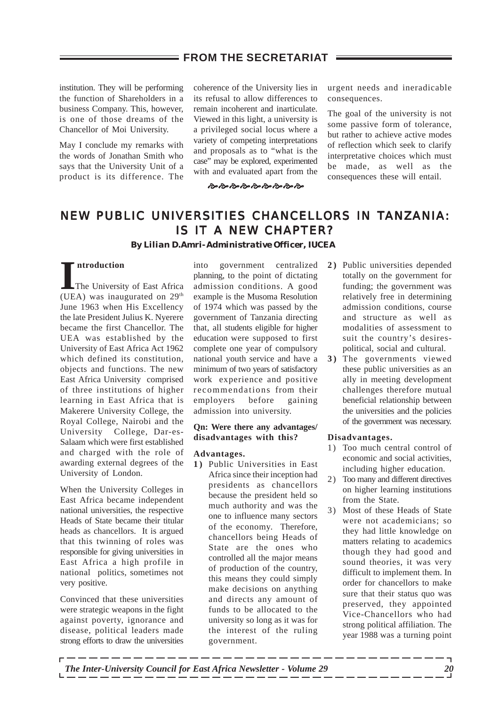institution. They will be performing the function of Shareholders in a business Company. This, however, is one of those dreams of the Chancellor of Moi University.

May I conclude my remarks with the words of Jonathan Smith who says that the University Unit of a product is its difference. The

coherence of the University lies in its refusal to allow differences to remain incoherent and inarticulate. Viewed in this light, a university is a privileged social locus where a variety of competing interpretations and proposals as to "what is the case" may be explored, experimented with and evaluated apart from the

**\$ \$ \$ \$ \$ \$ \$ \$ \$ \$ \$ \$** 

urgent needs and ineradicable consequences.

The goal of the university is not some passive form of tolerance, but rather to achieve active modes of reflection which seek to clarify interpretative choices which must be made, as well as the consequences these will entail.

## NEW PUBLIC UNIVERSITIES CHANCELLORS IN TANZANIA: IS IT A NEW CHAPTER? *By Lilian D.Amri- Administrative Officer, IUCEA*

#### **ntroduction**

**I** (UEA) was inaugurated on 29th The University of East Africa June 1963 when His Excellency the late President Julius K. Nyerere became the first Chancellor. The UEA was established by the University of East Africa Act 1962 which defined its constitution objects and functions. The new East Africa University comprised of three institutions of higher learning in East Africa that is Makerere University College, the Royal College, Nairobi and the University College, Dar-es-Salaam which were first established and charged with the role of awarding external degrees of the University of London.

When the University Colleges in East Africa became independent national universities, the respective Heads of State became their titular heads as chancellors. It is argued that this twinning of roles was responsible for giving universities in East Africa a high profile in national politics, sometimes not very positive.

Convinced that these universities were strategic weapons in the fight against poverty, ignorance and disease, political leaders made strong efforts to draw the universities

into government centralized planning, to the point of dictating admission conditions. A good example is the Musoma Resolution of 1974 which was passed by the government of Tanzania directing that, all students eligible for higher education were supposed to first complete one year of compulsory national youth service and have a minimum of two years of satisfactory work experience and positive recommendations from their employers before gaining admission into university.

#### **Qn: Were there any advantages/ disadvantages with this?**

#### **Advantages.**

**1 )** Public Universities in East Africa since their inception had presidents as chancellors because the president held so much authority and was the one to influence many sectors of the economy. Therefore, chancellors being Heads of State are the ones who controlled all the major means of production of the country, this means they could simply make decisions on anything and directs any amount of funds to be allocated to the university so long as it was for the interest of the ruling government.

\_\_\_\_\_\_\_\_\_

- **2 )** Public universities depended totally on the government for funding; the government was relatively free in determining admission conditions, course and structure as well as modalities of assessment to suit the country's desirespolitical, social and cultural.
- **3 )** The governments viewed these public universities as an ally in meeting development challenges therefore mutual beneficial relationship between the universities and the policies of the government was necessary.

#### **Disadvantages.**

- 1) Too much central control of economic and social activities, including higher education.
- 2) Too many and different directives on higher learning institutions from the State.
- 3) Most of these Heads of State were not academicians; so they had little knowledge on matters relating to academics though they had good and sound theories, it was very difficult to implement them. In order for chancellors to make sure that their status quo was preserved, they appointed Vice-Chancellors who had strong political affiliation. The year 1988 was a turning point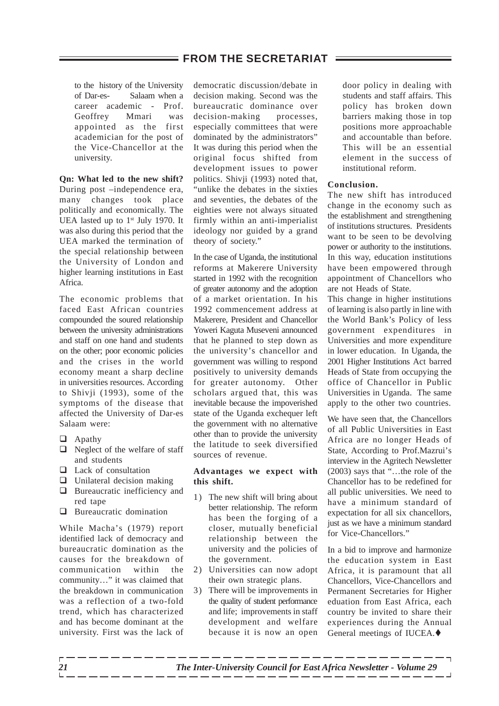to the history of the University of Dar-es- Salaam when a career academic - Prof. Geoffrey Mmari was appointed as the first academician for the post of the Vice-Chancellor at the university.

**Qn: What led to the new shift?** During post –independence era, many changes took place politically and economically. The UEA lasted up to  $1<sup>st</sup>$  July 1970. It was also during this period that the UEA marked the termination of the special relationship between the University of London and higher learning institutions in East Africa.

The economic problems that faced East African countries compounded the soured relationship between the university administrations and staff on one hand and students on the other; poor economic policies and the crises in the world economy meant a sharp decline in universities resources. According to Shivji (1993), some of the symptoms of the disease that affected the University of Dar-es Salaam were:

- $\Box$  Apathy
- $\Box$  Neglect of the welfare of staff and students
- $\Box$  Lack of consultation
- $\Box$  Unilateral decision making
- $\Box$  Bureaucratic inefficiency and red tape
- $\Box$  Bureaucratic domination

While Macha's (1979) report identified lack of democracy and bureaucratic domination as the causes for the breakdown of communication within the community…" it was claimed that the breakdown in communication was a reflection of a two-fold trend, which has characterized and has become dominant at the university. First was the lack of democratic discussion/debate in decision making. Second was the bureaucratic dominance over decision-making processes. especially committees that were dominated by the administrators" It was during this period when the original focus shifted from development issues to power politics. Shivji (1993) noted that, "unlike the debates in the sixties and seventies, the debates of the eighties were not always situated firmly within an anti-imperialist ideology nor guided by a grand theory of society."

In the case of Uganda, the institutional reforms at Makerere University started in 1992 with the recognition of greater autonomy and the adoption of a market orientation. In his 1992 commencement address at Makerere, President and Chancellor Yoweri Kaguta Museveni announced that he planned to step down as the university's chancellor and government was willing to respond positively to university demands for greater autonomy. Other scholars argued that, this was inevitable because the impoverished state of the Uganda exchequer left the government with no alternative other than to provide the university the latitude to seek diversified sources of revenue.

#### **Advantages we expect with this shift.**

- 1) The new shift will bring about better relationship. The reform has been the forging of a closer, mutually beneficial relationship between the university and the policies of the government.
- 2) Universities can now adopt their own strategic plans.
- 3) There will be improvements in the quality of student performance and life; improvements in staff development and welfare because it is now an open

door policy in dealing with students and staff affairs. This policy has broken down barriers making those in top positions more approachable and accountable than before. This will be an essential element in the success of institutional reform.

#### **Conclusion.**

The new shift has introduced change in the economy such as the establishment and strengthening of institutions structures. Presidents want to be seen to be devolving power or authority to the institutions. In this way, education institutions have been empowered through appointment of Chancellors who are not Heads of State.

This change in higher institutions of learning is also partly in line with the World Bank's Policy of less government expenditures in Universities and more expenditure in lower education. In Uganda, the 2001 Higher Institutions Act barred Heads of State from occupying the office of Chancellor in Public Universities in Uganda. The same apply to the other two countries.

We have seen that, the Chancellors of all Public Universities in East Africa are no longer Heads of State, According to Prof.Mazrui's interview in the Agritech Newsletter (2003) says that "…the role of the Chancellor has to be redefined for all public universities. We need to have a minimum standard of expectation for all six chancellors, just as we have a minimum standard for Vice-Chancellors."

In a bid to improve and harmonize the education system in East Africa, it is paramount that all Chancellors, Vice-Chancellors and Permanent Secretaries for Higher eduation from East Africa, each country be invited to share their experiences during the Annual General meetings of IUCEA. $\blacklozenge$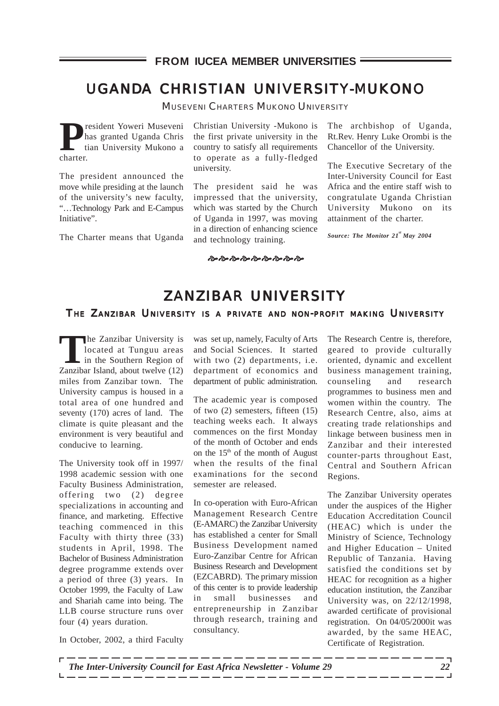#### **FROM IUCEA MEMBER UNIVERSITIES**

## UGANDA CHRISTIAN UNIVERSITY-MUKONO

MUSEVENI CHARTERS MUKONO UNIVERSITY

**President Yoweri Museveni**<br>
tian University Mukono a<br>
charter has granted Uganda Chris charter.

The president announced the move while presiding at the launch of the university's new faculty, "…Technology Park and E-Campus Initiative".

The Charter means that Uganda

Christian University -Mukono is the first private university in the country to satisfy all requirements to operate as a fully-fledged university.

The president said he was impressed that the university, which was started by the Church of Uganda in 1997, was moving in a direction of enhancing science and technology training.

The archbishop of Uganda, Rt.Rev. Henry Luke Orombi is the Chancellor of the University.

The Executive Secretary of the Inter-University Council for East Africa and the entire staff wish to congratulate Uganda Christian University Mukono on its attainment of the charter.

*Source: The Monitor 21st May 2004*

#### \$ \$ \$ \$ \$ \$ \$ \$ \$ \$

## ZANZIBAR UNIVERSITY

#### THE ZANZIBAR UNIVERSITY IS A PRIVATE AND NON-PROFIT MAKING UNIVERSITY

**The Zanzibar University is<br>
located at Tunguu areas<br>
in the Southern Region of<br>
<b>Tanzibar Island about turaly (12)** located at Tunguu areas in the Southern Region of Zanzibar Island, about twelve (12) miles from Zanzibar town. The University campus is housed in a total area of one hundred and seventy (170) acres of land. The climate is quite pleasant and the environment is very beautiful and conducive to learning.

The University took off in 1997/ 1998 academic session with one Faculty Business Administration, offering two (2) degree specializations in accounting and finance, and marketing. Effective teaching commenced in this Faculty with thirty three (33) students in April, 1998. The Bachelor of Business Administration degree programme extends over a period of three (3) years. In October 1999, the Faculty of Law and Shariah came into being. The LLB course structure runs over four (4) years duration.

In October, 2002, a third Faculty

was set up, namely, Faculty of Arts and Social Sciences. It started with two (2) departments, i.e. department of economics and department of public administration.

The academic year is composed of two (2) semesters, fifteen (15) teaching weeks each. It always commences on the first Monday of the month of October and ends on the 15<sup>th</sup> of the month of August when the results of the final examinations for the second semester are released.

In co-operation with Euro-African Management Research Centre (E-AMARC) the Zanzibar University has established a center for Small Business Development named Euro-Zanzibar Centre for African Business Research and Development (EZCABRD). The primary mission of this center is to provide leadership in small businesses and entrepreneurship in Zanzibar The Research Centre is, therefore, geared to provide culturally oriented, dynamic and excellent business management training, counseling and research programmes to business men and women within the country. The Research Centre, also, aims at creating trade relationships and linkage between business men in Zanzibar and their interested counter-parts throughout East, Central and Southern African Regions.

The Zanzibar University operates under the auspices of the Higher Education Accreditation Council (HEAC) which is under the Ministry of Science, Technology and Higher Education – United Republic of Tanzania. Having satisfied the conditions set by HEAC for recognition as a higher education institution, the Zanzibar University was, on 22/12/1998, awarded certificate of provisional registration. On 04/05/2000it was awarded, by the same HEAC, Certificate of Registration.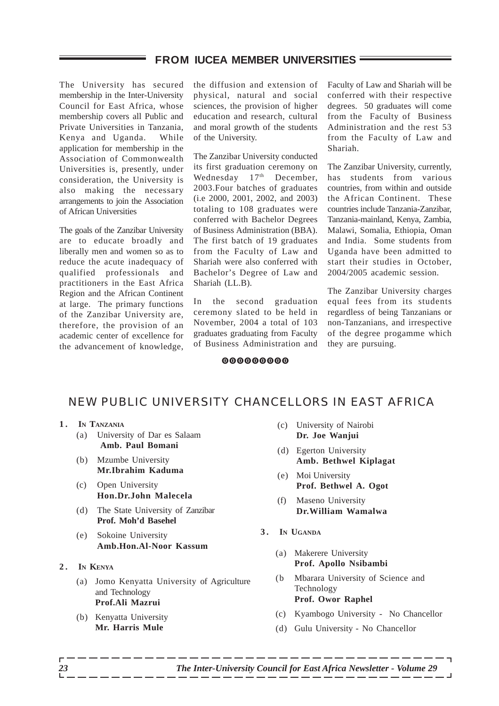#### **FROM IUCEA MEMBER UNIVERSITIES**

The University has secured membership in the Inter-University Council for East Africa, whose membership covers all Public and Private Universities in Tanzania, Kenya and Uganda. While application for membership in the Association of Commonwealth Universities is, presently, under consideration, the University is also making the necessary arrangements to join the Association of African Universities

The goals of the Zanzibar University are to educate broadly and liberally men and women so as to reduce the acute inadequacy of qualified professionals and practitioners in the East Africa Region and the African Continent at large. The primary functions of the Zanzibar University are, therefore, the provision of an academic center of excellence for the advancement of knowledge,

the diffusion and extension of physical, natural and social sciences, the provision of higher education and research, cultural and moral growth of the students of the University.

The Zanzibar University conducted its first graduation ceremony on Wednesday  $17<sup>th</sup>$  December, 2003.Four batches of graduates (i.e 2000, 2001, 2002, and 2003) totaling to 108 graduates were conferred with Bachelor Degrees of Business Administration (BBA). The first batch of 19 graduates from the Faculty of Law and Shariah were also conferred with Bachelor's Degree of Law and Shariah (LL.B).

In the second graduation ceremony slated to be held in November, 2004 a total of 103 graduates graduating from Faculty of Business Administration and Faculty of Law and Shariah will be conferred with their respective degrees. 50 graduates will come from the Faculty of Business Administration and the rest 53 from the Faculty of Law and Shariah.

The Zanzibar University, currently, has students from various countries, from within and outside the African Continent. These countries include Tanzania-Zanzibar, Tanzania-mainland, Kenya, Zambia, Malawi, Somalia, Ethiopia, Oman and India. Some students from Uganda have been admitted to start their studies in October, 2004/2005 academic session.

The Zanzibar University charges equal fees from its students regardless of being Tanzanians or non-Tanzanians, and irrespective of the degree progamme which they are pursuing.

#### 000000000

## NEW PUBLIC UNIVERSITY CHANCELLORS IN EAST AFRICA

- **1. IN TANZANIA**
	- (a) University of Dar es Salaam  **Amb. Paul Bomani**
	- (b) Mzumbe University **Mr.Ibrahim Kaduma**
	- (c) Open University **Hon.Dr.John Malecela**
	- (d) The State University of Zanzibar **Prof. Moh'd Basehel**
	- (e) Sokoine University **Amb.Hon.Al-Noor Kassum**
- **2. IN KENYA**
	- (a) Jomo Kenyatta University of Agriculture and Technology **Prof.Ali Mazrui**
	- (b) Kenyatta University **Mr. Harris Mule**
- (c) University of Nairobi **Dr. Joe Wanjui**
- (d) Egerton University **Amb. Bethwel Kiplagat**
- (e) Moi University **Prof. Bethwel A. Ogot**
- (f) Maseno University **Dr.William Wamalwa**
- **3. IN UGANDA**
	- (a) Makerere University **Prof. Apollo Nsibambi**
	- (b Mbarara University of Science and Technology **Prof. Owor Raphel**
	- (c) Kyambogo University No Chancellor
	- (d) Gulu University No Chancellor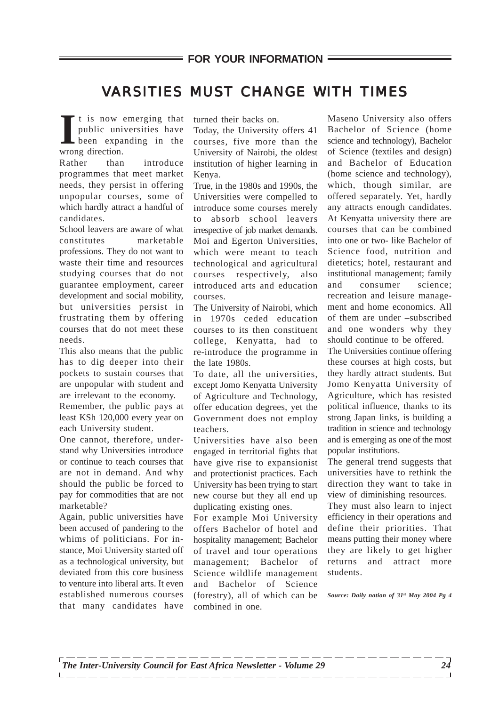## VARSITIES MUST CHANGE WITH TIMES

I t is now<br>
public uni<br>
been expa<br>
wrong direction. t is now emerging that public universities have been expanding in the

Rather than introduce programmes that meet market needs, they persist in offering unpopular courses, some of which hardly attract a handful of candidates.

School leavers are aware of what constitutes marketable professions. They do not want to waste their time and resources studying courses that do not guarantee employment, career development and social mobility, but universities persist in frustrating them by offering courses that do not meet these needs.

This also means that the public has to dig deeper into their pockets to sustain courses that are unpopular with student and are irrelevant to the economy.

Remember, the public pays at least KSh 120,000 every year on each University student.

One cannot, therefore, understand why Universities introduce or continue to teach courses that are not in demand. And why should the public be forced to pay for commodities that are not marketable?

Again, public universities have been accused of pandering to the whims of politicians. For instance, Moi University started off as a technological university, but deviated from this core business to venture into liberal arts. It even established numerous courses that many candidates have turned their backs on.

Today, the University offers 41 courses, five more than the University of Nairobi, the oldest institution of higher learning in Kenya.

True, in the 1980s and 1990s, the Universities were compelled to introduce some courses merely to absorb school leavers irrespective of job market demands. Moi and Egerton Universities, which were meant to teach technological and agricultural courses respectively, also introduced arts and education courses.

The University of Nairobi, which in 1970s ceded education courses to its then constituent college, Kenyatta, had to re-introduce the programme in the late 1980s.

To date, all the universities, except Jomo Kenyatta University of Agriculture and Technology, offer education degrees, yet the Government does not employ teachers.

Universities have also been engaged in territorial fights that have give rise to expansionist and protectionist practices. Each University has been trying to start new course but they all end up duplicating existing ones.

For example Moi University offers Bachelor of hotel and hospitality management; Bachelor of travel and tour operations management; Bachelor of Science wildlife management and Bachelor of Science (forestry), all of which can be combined in one.

Maseno University also offers Bachelor of Science (home science and technology), Bachelor of Science (textiles and design) and Bachelor of Education (home science and technology), which, though similar, are offered separately. Yet, hardly any attracts enough candidates. At Kenyatta university there are courses that can be combined into one or two- like Bachelor of Science food, nutrition and dietetics; hotel, restaurant and institutional management; family and consumer science; recreation and leisure management and home economics. All of them are under –subscribed and one wonders why they should continue to be offered.

The Universities continue offering these courses at high costs, but they hardly attract students. But Jomo Kenyatta University of Agriculture, which has resisted political influence, thanks to its strong Japan links, is building a tradition in science and technology and is emerging as one of the most popular institutions.

The general trend suggests that universities have to rethink the direction they want to take in view of diminishing resources.

They must also learn to inject efficiency in their operations and define their priorities. That means putting their money where they are likely to get higher returns and attract more students.

*Source: Daily nation of 31st May 2004 Pg 4*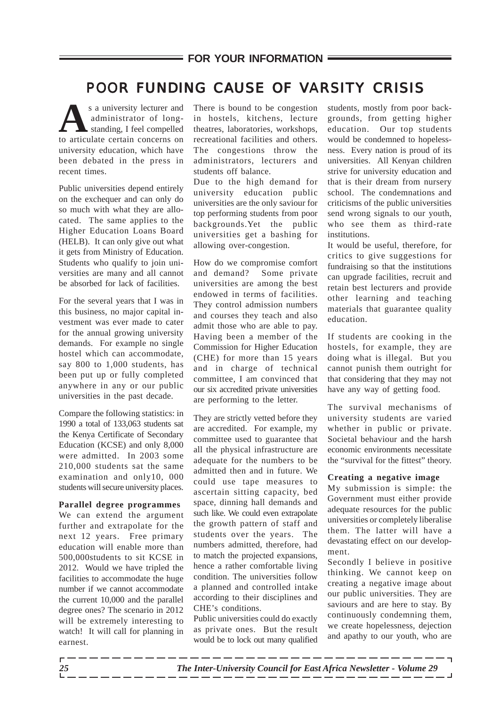## POOR FUNDING CAUSE OF VARSITY CRISIS

s a university lecturer and<br>
administrator of long-<br>
standing, I feel compelled<br>
to articulate certain concerns on administrator of longstanding, I feel compelled to articulate certain concerns on university education, which have been debated in the press in recent times.

Public universities depend entirely on the exchequer and can only do so much with what they are allocated. The same applies to the Higher Education Loans Board (HELB). It can only give out what it gets from Ministry of Education. Students who qualify to join universities are many and all cannot be absorbed for lack of facilities.

For the several years that I was in this business, no major capital investment was ever made to cater for the annual growing university demands. For example no single hostel which can accommodate, say 800 to 1,000 students, has been put up or fully completed anywhere in any or our public universities in the past decade.

Compare the following statistics: in 1990 a total of 133,063 students sat the Kenya Certificate of Secondary Education (KCSE) and only 8,000 were admitted. In 2003 some 210,000 students sat the same examination and only10, 000 students will secure university places.

#### **Parallel degree programmes**

We can extend the argument further and extrapolate for the next 12 years. Free primary education will enable more than 500,000students to sit KCSE in 2012. Would we have tripled the facilities to accommodate the huge number if we cannot accommodate the current 10,000 and the parallel degree ones? The scenario in 2012 will be extremely interesting to watch! It will call for planning in earnest.

There is bound to be congestion in hostels, kitchens, lecture theatres, laboratories, workshops, recreational facilities and others. The congestions throw the administrators, lecturers and students off balance.

Due to the high demand for university education public universities are the only saviour for top performing students from poor backgrounds.Yet the public universities get a bashing for allowing over-congestion.

How do we compromise comfort and demand? Some private universities are among the best endowed in terms of facilities. They control admission numbers and courses they teach and also admit those who are able to pay. Having been a member of the Commission for Higher Education (CHE) for more than 15 years and in charge of technical committee, I am convinced that our six accredited private universities are performing to the letter.

They are strictly vetted before they are accredited. For example, my committee used to guarantee that all the physical infrastructure are adequate for the numbers to be admitted then and in future. We could use tape measures to ascertain sitting capacity, bed space, dinning hall demands and such like. We could even extrapolate the growth pattern of staff and students over the years. The numbers admitted, therefore, had to match the projected expansions, hence a rather comfortable living condition. The universities follow a planned and controlled intake according to their disciplines and CHE's conditions.

Public universities could do exactly as private ones. But the result would be to lock out many qualified students, mostly from poor backgrounds, from getting higher education. Our top students would be condemned to hopelessness. Every nation is proud of its universities. All Kenyan children strive for university education and that is their dream from nursery school. The condemnations and criticisms of the public universities send wrong signals to our youth, who see them as third-rate institutions.

It would be useful, therefore, for critics to give suggestions for fundraising so that the institutions can upgrade facilities, recruit and retain best lecturers and provide other learning and teaching materials that guarantee quality education.

If students are cooking in the hostels, for example, they are doing what is illegal. But you cannot punish them outright for that considering that they may not have any way of getting food.

The survival mechanisms of university students are varied whether in public or private. Societal behaviour and the harsh economic environments necessitate the "survival for the fittest" theory.

#### **Creating a negative image**

My submission is simple: the Government must either provide adequate resources for the public universities or completely liberalise them. The latter will have a devastating effect on our development.

Secondly I believe in positive thinking. We cannot keep on creating a negative image about our public universities. They are saviours and are here to stay. By continuously condemning them, we create hopelessness, dejection and apathy to our youth, who are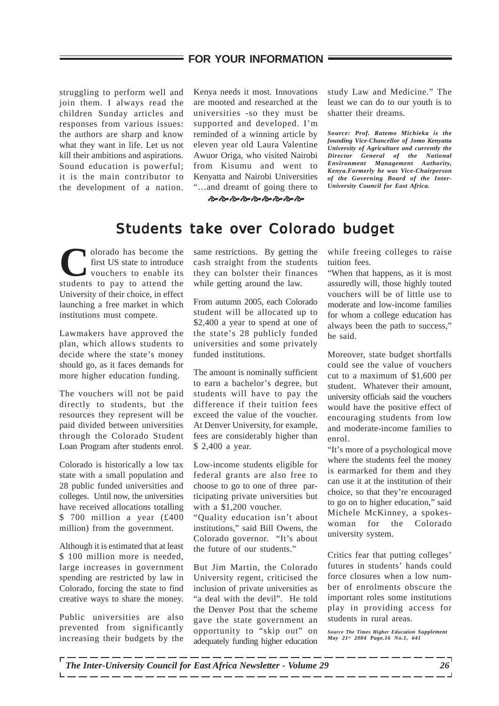### **FOR YOUR INFORMATION**

struggling to perform well and join them. I always read the children Sunday articles and responses from various issues: the authors are sharp and know what they want in life. Let us not kill their ambitions and aspirations. Sound education is powerful; it is the main contributor to the development of a nation.

=

Kenya needs it most. Innovations are mooted and researched at the universities -so they must be supported and developed. I'm reminded of a winning article by eleven year old Laura Valentine Awuor Origa, who visited Nairobi from Kisumu and went to Kenyatta and Nairobi Universities "…and dreamt of going there to

study Law and Medicine." The least we can do to our youth is to shatter their dreams.

*Source: Prof. Ratemo Michieka is the founding Vice-Chancellor of Jomo Kenyatta University of Agriculture and currently the Director General of the National Environment Management Authority, Kenya.Formerly he was Vice-Chairperson of the Governing Board of the Inter-University Council for East Africa.*

\$\$\$\$\$\$\$\$\$

## Students take over Colorado budget

**C**olorado has become the first US state to introduce vouchers to enable its students to pay to attend the University of their choice, in effect launching a free market in which institutions must compete.

Lawmakers have approved the plan, which allows students to decide where the state's money should go, as it faces demands for more higher education funding.

The vouchers will not be paid directly to students, but the resources they represent will be paid divided between universities through the Colorado Student Loan Program after students enrol.

Colorado is historically a low tax state with a small population and 28 public funded universities and colleges. Until now, the universities have received allocations totalling \$ 700 million a year (£400 million) from the government.

Although it is estimated that at least \$ 100 million more is needed, large increases in government spending are restricted by law in Colorado, forcing the state to find creative ways to share the money.

Public universities are also prevented from significantly increasing their budgets by the same restrictions. By getting the cash straight from the students they can bolster their finances while getting around the law.

From autumn 2005, each Colorado student will be allocated up to \$2,400 a year to spend at one of the state's 28 publicly funded universities and some privately funded institutions.

The amount is nominally sufficient to earn a bachelor's degree, but students will have to pay the difference if their tuition fees exceed the value of the voucher. At Denver University, for example, fees are considerably higher than \$ 2,400 a year.

Low-income students eligible for federal grants are also free to choose to go to one of three participating private universities but with a \$1,200 voucher.

"Quality education isn't about institutions," said Bill Owens, the Colorado governor. "It's about the future of our students."

But Jim Martin, the Colorado University regent, criticised the inclusion of private universities as "a deal with the devil". He told the Denver Post that the scheme gave the state government an opportunity to "skip out" on adequately funding higher education while freeing colleges to raise tuition fees.

"When that happens, as it is most assuredly will, those highly touted vouchers will be of little use to moderate and low-income families for whom a college education has always been the path to success," he said.

Moreover, state budget shortfalls could see the value of vouchers cut to a maximum of \$1,600 per student. Whatever their amount, university officials said the vouchers would have the positive effect of encouraging students from low and moderate-income families to enrol.

"It's more of a psychological move where the students feel the money is earmarked for them and they can use it at the institution of their choice, so that they're encouraged to go on to higher education," said Michele McKinney, a spokeswoman for the Colorado university system.

Critics fear that putting colleges' futures in students' hands could force closures when a low number of enrolments obscure the important roles some institutions play in providing access for students in rural areas.

*Source The Times Higher Education Supplement May 21st 2004 Page.16 No.1, 641*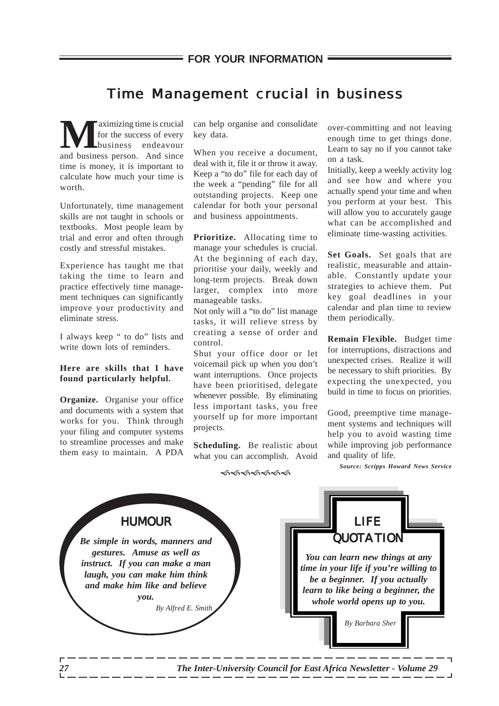## Time Management crucial in business

**Maximizing time is crucial**<br>for the success of every<br>and business person. And since for the success of every business endeavour time is money, it is important to calculate how much your time is worth.

Unfortunately, time management skills are not taught in schools or textbooks. Most people learn by trial and error and often through costly and stressful mistakes.

Experience has taught me that taking the time to learn and practice effectively time management techniques can significantly improve your productivity and eliminate stress.

I always keep " to do" lists and write down lots of reminders.

#### **Here are skills that I have found particularly helpful.**

**Organize.** Organise your office and documents with a system that works for you. Think through your filing and computer systems to streamline processes and make them easy to maintain. A PDA

can help organise and consolidate key data.

When you receive a document, deal with it, file it or throw it away. Keep a "to do" file for each day of the week a "pending" file for all outstanding projects. Keep one calendar for both your personal and business appointments.

**Prioritize.** Allocating time to manage your schedules is crucial. At the beginning of each day, prioritise your daily, weekly and long-term projects. Break down larger, complex into more manageable tasks.

Not only will a "to do" list manage tasks, it will relieve stress by creating a sense of order and control.

Shut your office door or let voicemail pick up when you don't want interruptions. Once projects have been prioritised, delegate whenever possible. By eliminating less important tasks, you free yourself up for more important projects.

**Scheduling.** Be realistic about what you can accomplish. Avoid

over-committing and not leaving enough time to get things done. Learn to say no if you cannot take on a task.

Initially, keep a weekly activity log and see how and where you actually spend your time and when you perform at your best. This will allow you to accurately gauge what can be accomplished and eliminate time-wasting activities.

**Set Goals.** Set goals that are realistic, measurable and attainable. Constantly update your strategies to achieve them. Put key goal deadlines in your calendar and plan time to review them periodically.

**Remain Flexible.** Budget time for interruptions, distractions and unexpected crises. Realize it will be necessary to shift priorities. By expecting the unexpected, you build in time to focus on priorities.

Good, preemptive time management systems and techniques will help you to avoid wasting time while improving job performance and quality of life.

*Source: Scripps Howard News Service*

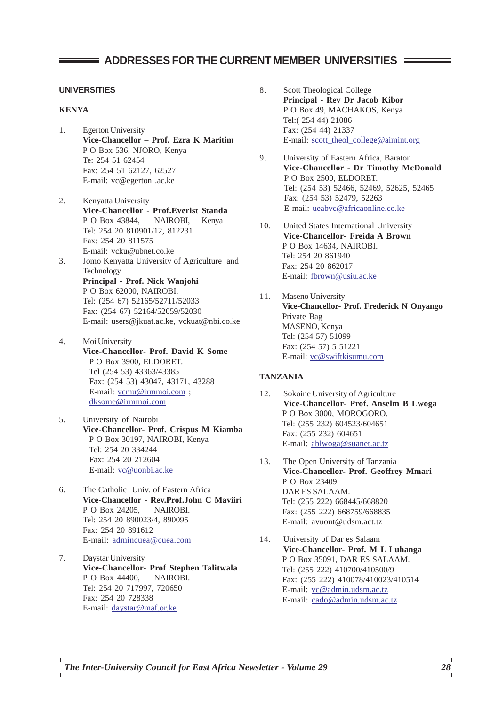### **ADDRESSES FOR THE CURRENT MEMBER UNIVERSITIES**

#### **UNIVERSITIES**

#### **KENYA**

- 1. Egerton University **Vice-Chancellor – Prof. Ezra K Maritim** P O Box 536, NJORO, Kenya Te: 254 51 62454 Fax: 254 51 62127, 62527 E-mail: vc@egerton .ac.ke
- 2. Kenyatta University **Vice-Chancellor - Prof.Everist Standa** P O Box 43844, NAIROBI, Kenya Tel: 254 20 810901/12, 812231 Fax: 254 20 811575 E-mail: vcku@ubnet.co.ke
- 3. Jomo Kenyatta University of Agriculture and Technology **Principal - Prof. Nick Wanjohi** P O Box 62000, NAIROBI. Tel: (254 67) 52165/52711/52033 Fax: (254 67) 52164/52059/52030 E-mail: users@jkuat.ac.ke, vckuat@nbi.co.ke
- 4. Moi University **Vice-Chancellor- Prof. David K Some** P O Box 3900, ELDORET. Tel (254 53) 43363/43385 Fax: (254 53) 43047, 43171, 43288 E-mail: vcmu@irmmoi.com ; dksome@irmmoi.com
- 5. University of Nairobi **Vice-Chancellor- Prof. Crispus M Kiamba** P O Box 30197, NAIROBI, Kenya Tel: 254 20 334244 Fax: 254 20 212604 E-mail: vc@uonbi.ac.ke
- 6. The Catholic Univ. of Eastern Africa **Vice-Chancellor** - **Rev.Prof.John C Maviiri** P O Box 24205. NAIROBI. Tel: 254 20 890023/4, 890095 Fax: 254 20 891612 E-mail: admincuea@cuea.com
- 7. Daystar University **Vice-Chancellor- Prof Stephen Talitwala** P O Box 44400, NAIROBI. Tel: 254 20 717997, 720650 Fax: 254 20 728338 E-mail: daystar@maf.or.ke
- 8. Scott Theological College **Principal - Rev Dr Jacob Kibor** P O Box 49, MACHAKOS, Kenya Tel:( 254 44) 21086 Fax: (254 44) 21337 E-mail: scott\_theol\_college@aimint.org
- 9. University of Eastern Africa, Baraton **Vice-Chancellor - Dr Timothy McDonald** P O Box 2500, ELDORET. Tel: (254 53) 52466, 52469, 52625, 52465 Fax: (254 53) 52479, 52263 E-mail: ueabvc@africaonline.co.ke
- 10. United States International University **Vice-Chancellor- Freida A Brown** P O Box 14634, NAIROBI. Tel: 254 20 861940 Fax: 254 20 862017 E-mail: fbrown@usiu.ac.ke
- 11. Maseno University **Vice-Chancellor- Prof. Frederick N Onyango** Private Bag MASENO, Kenya Tel: (254 57) 51099 Fax: (254 57) 5 51221 E-mail: vc@swiftkisumu.com

#### **TANZANIA**

- 12. Sokoine University of Agriculture **Vice-Chancellor- Prof. Anselm B Lwoga** P O Box 3000, MOROGORO. Tel: (255 232) 604523/604651 Fax: (255 232) 604651 E-mail: ablwoga@suanet.ac.tz
- 13. The Open University of Tanzania **Vice-Chancellor- Prof. Geoffrey Mmari** P O Box 23409 DAR ES SALAAM. Tel: (255 222) 668445/668820 Fax: (255 222) 668759/668835 E-mail: avuout@udsm.act.tz
- 14. University of Dar es Salaam **Vice-Chancellor- Prof. M L Luhanga** P O Box 35091, DAR ES SALAAM. Tel: (255 222) 410700/410500/9 Fax: (255 222) 410078/410023/410514 E-mail: vc@admin.udsm.ac.tz E-mail: cado@admin.udsm.ac.tz

----------------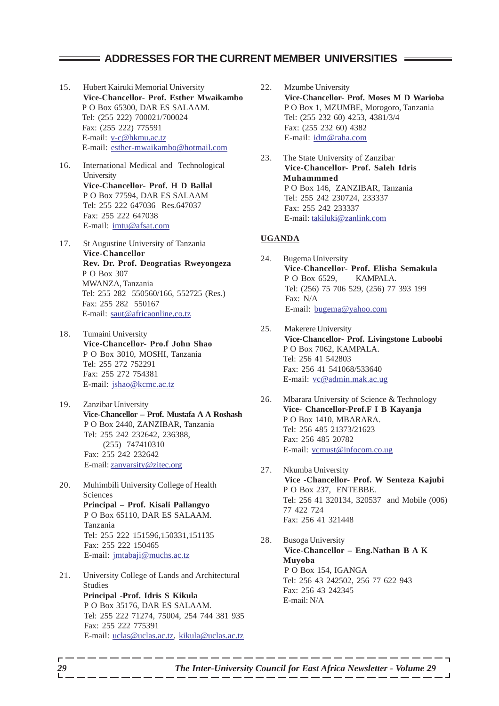#### **ADDRESSES FOR THE CURRENT MEMBER UNIVERSITIES**

- 15. Hubert Kairuki Memorial University **Vice-Chancellor- Prof. Esther Mwaikambo** P O Box 65300, DAR ES SALAAM. Tel: (255 222) 700021/700024 Fax: (255 222) 775591 E-mail: v-c@hkmu.ac.tz E-mail: esther-mwaikambo@hotmail.com
- 16. International Medical and Technological University **Vice-Chancellor- Prof. H D Ballal** P O Box 77594, DAR ES SALAAM Tel: 255 222 647036 Res.647037 Fax: 255 222 647038 E-mail: imtu@afsat.com
- 17. St Augustine University of Tanzania **Vice-Chancellor Rev. Dr. Prof. Deogratias Rweyongeza** P O Box 307 MWANZA, Tanzania Tel: 255 282 550560/166, 552725 (Res.) Fax: 255 282 550167 E-mail: saut@africaonline.co.tz
- 18. Tumaini University **Vice-Chancellor- Pro.f John Shao** P O Box 3010, MOSHI, Tanzania Tel: 255 272 752291 Fax: 255 272 754381 E-mail: jshao@kcmc.ac.tz
- 19. Zanzibar University **Vice-Chancellor – Prof. Mustafa A A Roshash** P O Box 2440, ZANZIBAR, Tanzania Tel: 255 242 232642, 236388, (255) 747410310 Fax: 255 242 232642 E-mail: zanvarsity@zitec.org
- 20. Muhimbili University College of Health Sciences **Principal – Prof. Kisali Pallangyo** P O Box 65110, DAR ES SALAAM. Tanzania Tel: 255 222 151596,150331,151135 Fax: 255 222 150465 E-mail: jmtabaji@muchs.ac.tz
- 21. University College of Lands and Architectural Studies **Principal -Prof. Idris S Kikula** P O Box 35176, DAR ES SALAAM. Tel: 255 222 71274, 75004, 254 744 381 935 Fax: 255 222 775391 E-mail: uclas@uclas.ac.tz, kikula@uclas.ac.tz
- 22. Mzumbe University **Vice-Chancellor- Prof. Moses M D Warioba** P O Box 1, MZUMBE, Morogoro, Tanzania Tel: (255 232 60) 4253, 4381/3/4 Fax: (255 232 60) 4382 E-mail: idm@raha.com
- 23. The State University of Zanzibar **Vice-Chancellor- Prof. Saleh Idris Muhammmed** P O Box 146, ZANZIBAR, Tanzania Tel: 255 242 230724, 233337 Fax: 255 242 233337 E-mail: takiluki@zanlink.com

#### **UGANDA**

- 24. Bugema University **Vice-Chancellor- Prof. Elisha Semakula** P O Box 6529, KAMPALA. Tel: (256) 75 706 529, (256) 77 393 199 Fax: N/A E-mail: bugema@yahoo.com
- 25. Makerere University **Vice-Chancellor- Prof. Livingstone Luboobi** P O Box 7062, KAMPALA. Tel: 256 41 542803 Fax: 256 41 541068/533640 E-mail: vc@admin.mak.ac.ug
- 26. Mbarara University of Science & Technology **Vice- Chancellor-Prof.F I B Kayanja** P O Box 1410, MBARARA. Tel: 256 485 21373/21623 Fax: 256 485 20782 E-mail: vcmust@infocom.co.ug
- 27. Nkumba University **Vice -Chancellor- Prof. W Senteza Kajubi** P O Box 237, ENTEBBE. Tel: 256 41 320134, 320537 and Mobile (006) 77 422 724 Fax: 256 41 321448
- 28. Busoga University **Vice-Chancellor – Eng.Nathan B A K Muyoba** P O Box 154, IGANGA Tel: 256 43 242502, 256 77 622 943 Fax: 256 43 242345 E-mail: N/A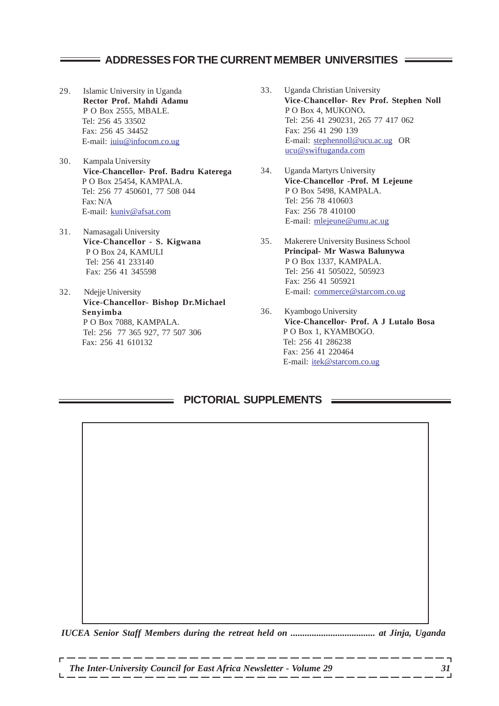## **ADDRESSES FOR THE CURRENT MEMBER UNIVERSITIES**

- 29. Islamic University in Uganda **Rector Prof. Mahdi Adamu** P O Box 2555, MBALE. Tel: 256 45 33502 Fax: 256 45 34452 E-mail: iuiu@infocom.co.ug
- 30. Kampala University **Vice-Chancellor- Prof. Badru Katerega** P O Box 25454, KAMPALA. Tel: 256 77 450601, 77 508 044 Fax: N/A E-mail: kuniv@afsat.com
- 31. Namasagali University P O Box 24, KAMULI Tel: 256 41 233140 Fax: 256 41 345598
- 32. Ndejje University **Vice-Chancellor- Bishop Dr.Michael Senyimba** P O Box 7088, KAMPALA. Tel: 256 77 365 927, 77 507 306 Fax: 256 41 610132
- 33. Uganda Christian University **Vice-Chancellor- Rev Prof. Stephen Noll** P O Box 4, MUKONO**.** Tel: 256 41 290231, 265 77 417 062 Fax: 256 41 290 139 E-mail: stephennoll@ucu.ac.ug OR ucu@swiftuganda.com
- 34. Uganda Martyrs University **Vice-Chancellor -Prof. M Lejeune** P O Box 5498, KAMPALA. Tel: 256 78 410603 Fax: 256 78 410100 E-mail: mlejeune@umu.ac.ug
- **Vice-Chancellor S. Kigwana** 35. Makerere University Business School **Principal- Mr Waswa Balunywa** P O Box 1337, KAMPALA. Tel: 256 41 505022, 505923 Fax: 256 41 505921 E-mail: commerce@starcom.co.ug
	- 36. Kyambogo University **Vice-Chancellor- Prof. A J Lutalo Bosa** P O Box 1, KYAMBOGO. Tel: 256 41 286238 Fax: 256 41 220464 E-mail: itek@starcom.co.ug

## **PICTORIAL SUPPLEMENTS**

*IUCEA Senior Staff Members during the retreat held on .................................... at Jinja, Uganda*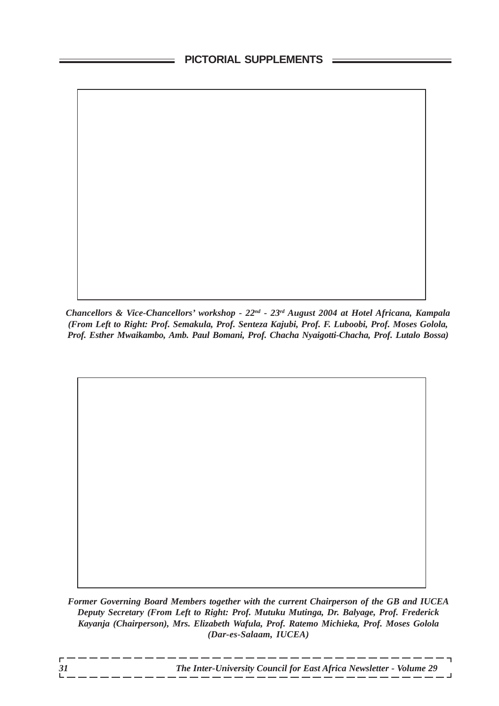*Chancellors & Vice-Chancellors' workshop - 22nd - 23rd August 2004 at Hotel Africana, Kampala (From Left to Right: Prof. Semakula, Prof. Senteza Kajubi, Prof. F. Luboobi, Prof. Moses Golola, Prof. Esther Mwaikambo, Amb. Paul Bomani, Prof. Chacha Nyaigotti-Chacha, Prof. Lutalo Bossa)*

*Former Governing Board Members together with the current Chairperson of the GB and IUCEA Deputy Secretary (From Left to Right: Prof. Mutuku Mutinga, Dr. Balyage, Prof. Frederick Kayanja (Chairperson), Mrs. Elizabeth Wafula, Prof. Ratemo Michieka, Prof. Moses Golola (Dar-es-Salaam, IUCEA)*

 $-$ 

 $-$ 

- -- -- -- -- -- -- -

 $\overline{\phantom{a}}$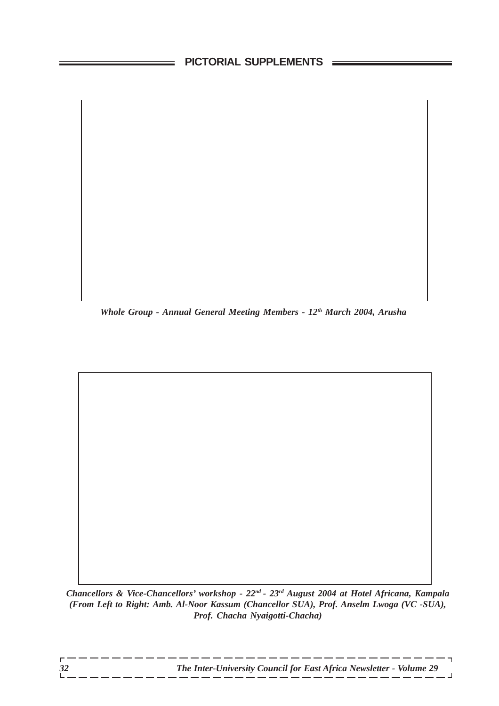## **PICTORIAL SUPPLEMENTS**

*Whole Group - Annual General Meeting Members - 12th March 2004, Arusha*

*Chancellors & Vice-Chancellors' workshop - 22nd - 23rd August 2004 at Hotel Africana, Kampala (From Left to Right: Amb. Al-Noor Kassum (Chancellor SUA), Prof. Anselm Lwoga (VC -SUA), Prof. Chacha Nyaigotti-Chacha)*

 $-$ 

 $-$ 

\_\_\_\_\_\_

 $\overline{\phantom{a}}$